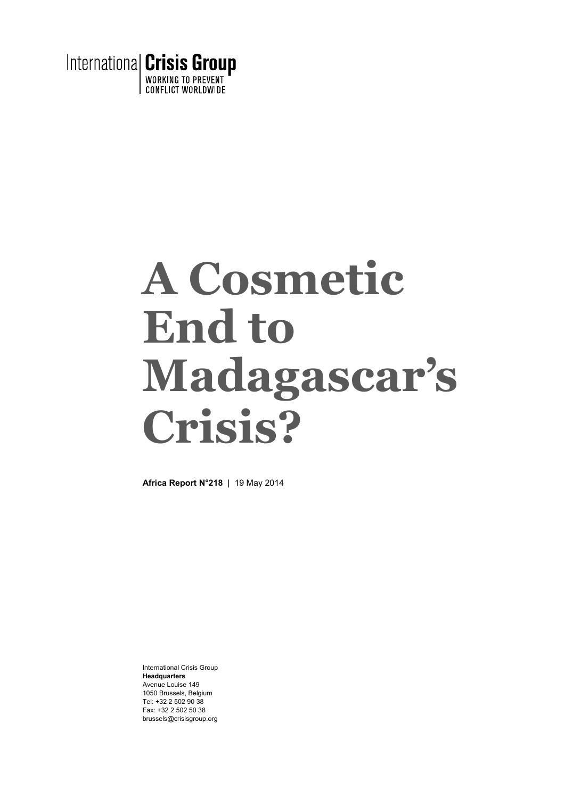

# **A Cosmetic End to Madagascar's Crisis?**

**Africa Report N°218** | 19 May 2014

International Crisis Group **Headquarters**  Avenue Louise 149 1050 Brussels, Belgium Tel: +32 2 502 90 38 Fax: +32 2 502 50 38 brussels@crisisgroup.org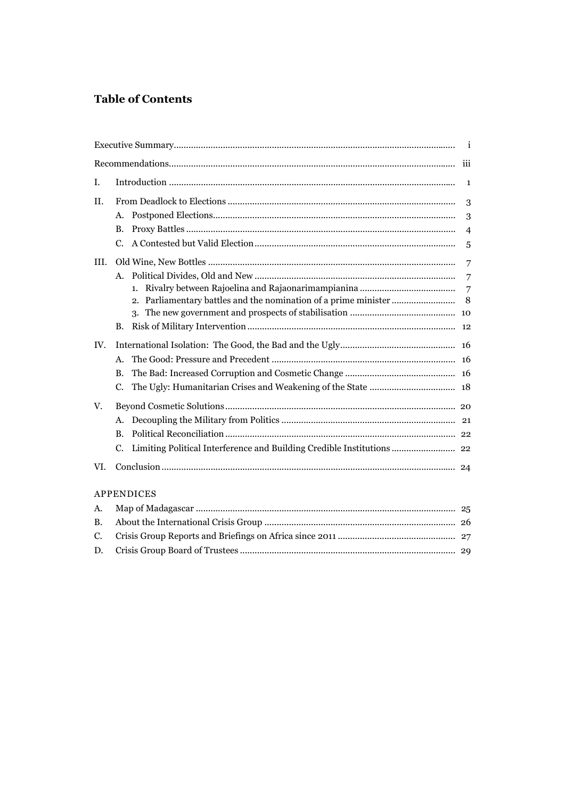## **Table of Contents**

D.

|      |                | $\mathbf{i}$   |
|------|----------------|----------------|
|      |                |                |
| Ι.   |                | $\mathbf{1}$   |
| Н.   |                | 3              |
|      | А.             | 3              |
|      | В.             | $\overline{4}$ |
|      | C.             | 5              |
| III. |                | 7              |
|      | A.             | $\overline{7}$ |
|      | 1.             | $\overline{7}$ |
|      |                | 8              |
|      |                |                |
|      | B.             |                |
| IV.  |                |                |
|      | A.             |                |
|      | <b>B.</b>      |                |
|      | $C_{\cdot}$    |                |
| V.   |                |                |
|      | А.             |                |
|      | $\mathbf{B}$ . |                |
|      | C.             |                |
| VI.  |                |                |
|      | APPENDICES     |                |
| A.   |                |                |
| В.   |                |                |
| C.   |                |                |
| D.   |                |                |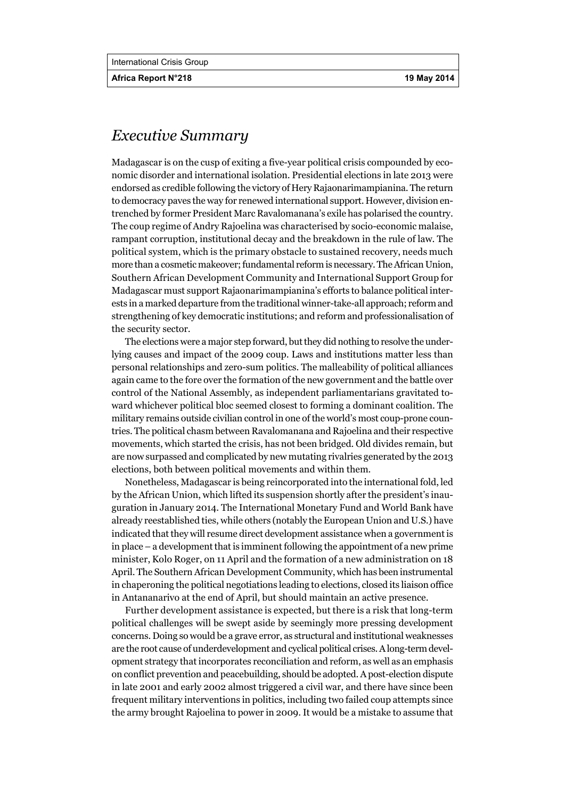**Africa Report N°218 19 May 2014 19 May 2014** 

# *Executive Summary*

Madagascar is on the cusp of exiting a five-year political crisis compounded by economic disorder and international isolation. Presidential elections in late 2013 were endorsed as credible following the victory of Hery Rajaonarimampianina. The return to democracy paves the way for renewed international support. However, division entrenched by former President Marc Ravalomanana's exile has polarised the country. The coup regime of Andry Rajoelina was characterised by socio-economic malaise, rampant corruption, institutional decay and the breakdown in the rule of law. The political system, which is the primary obstacle to sustained recovery, needs much more than a cosmetic makeover; fundamental reform is necessary. The African Union, Southern African Development Community and International Support Group for Madagascar must support Rajaonarimampianina's efforts to balance political interests in a marked departure from the traditional winner-take-all approach; reform and strengthening of key democratic institutions; and reform and professionalisation of the security sector.

The elections were a major step forward, but they did nothing to resolve the underlying causes and impact of the 2009 coup. Laws and institutions matter less than personal relationships and zero-sum politics. The malleability of political alliances again came to the fore over the formation of the new government and the battle over control of the National Assembly, as independent parliamentarians gravitated toward whichever political bloc seemed closest to forming a dominant coalition. The military remains outside civilian control in one of the world's most coup-prone countries. The political chasm between Ravalomanana and Rajoelina and their respective movements, which started the crisis, has not been bridged. Old divides remain, but are now surpassed and complicated by new mutating rivalries generated by the 2013 elections, both between political movements and within them.

Nonetheless, Madagascar is being reincorporated into the international fold, led by the African Union, which lifted its suspension shortly after the president's inauguration in January 2014. The International Monetary Fund and World Bank have already reestablished ties, while others (notably the European Union and U.S.) have indicated that they will resume direct development assistance when a government is in place – a development that is imminent following the appointment of a new prime minister, Kolo Roger, on 11 April and the formation of a new administration on 18 April. The Southern African Development Community, which has been instrumental in chaperoning the political negotiations leading to elections, closed its liaison office in Antananarivo at the end of April, but should maintain an active presence.

Further development assistance is expected, but there is a risk that long-term political challenges will be swept aside by seemingly more pressing development concerns. Doing so would be a grave error, as structural and institutional weaknesses are the root cause of underdevelopment and cyclical political crises. A long-term development strategy that incorporates reconciliation and reform, as well as an emphasis on conflict prevention and peacebuilding, should be adopted. A post-election dispute in late 2001 and early 2002 almost triggered a civil war, and there have since been frequent military interventions in politics, including two failed coup attempts since the army brought Rajoelina to power in 2009. It would be a mistake to assume that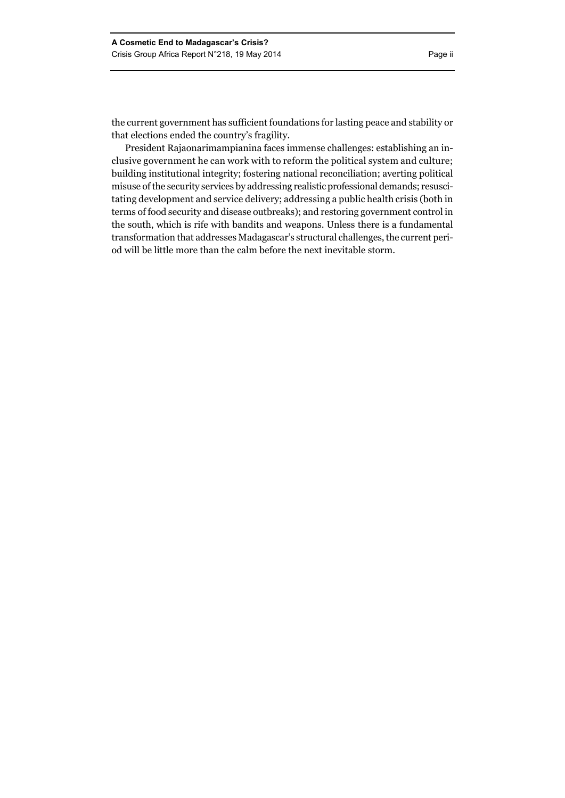the current government has sufficient foundations for lasting peace and stability or that elections ended the country's fragility.

President Rajaonarimampianina faces immense challenges: establishing an inclusive government he can work with to reform the political system and culture; building institutional integrity; fostering national reconciliation; averting political misuse of the security services by addressing realistic professional demands; resuscitating development and service delivery; addressing a public health crisis (both in terms of food security and disease outbreaks); and restoring government control in the south, which is rife with bandits and weapons. Unless there is a fundamental transformation that addresses Madagascar's structural challenges, the current period will be little more than the calm before the next inevitable storm.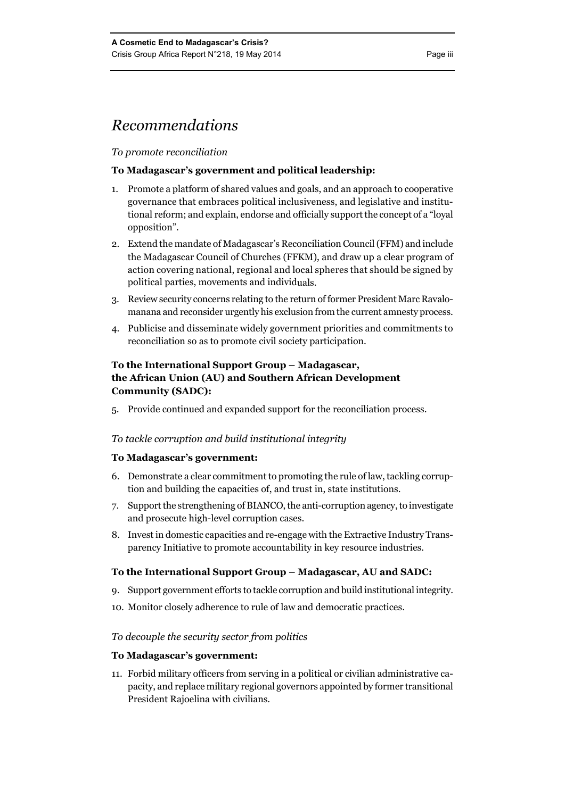# *Recommendations*

#### *To promote reconciliation*

#### **To Madagascar's government and political leadership:**

- 1. Promote a platform of shared values and goals, and an approach to cooperative governance that embraces political inclusiveness, and legislative and institutional reform; and explain, endorse and officially support the concept of a "loyal opposition".
- 2. Extend the mandate of Madagascar's Reconciliation Council (FFM) and include the Madagascar Council of Churches (FFKM), and draw up a clear program of action covering national, regional and local spheres that should be signed by political parties, movements and individuals.
- 3. Review security concerns relating to the return of former President Marc Ravalomanana and reconsider urgently his exclusion from the current amnesty process.
- 4. Publicise and disseminate widely government priorities and commitments to reconciliation so as to promote civil society participation.

#### **To the International Support Group – Madagascar, the African Union (AU) and Southern African Development Community (SADC):**

5. Provide continued and expanded support for the reconciliation process.

#### *To tackle corruption and build institutional integrity*

#### **To Madagascar's government:**

- 6. Demonstrate a clear commitment to promoting the rule of law, tackling corruption and building the capacities of, and trust in, state institutions.
- 7. Support the strengthening of BIANCO, the anti-corruption agency, to investigate and prosecute high-level corruption cases.
- 8. Invest in domestic capacities and re-engage with the Extractive Industry Transparency Initiative to promote accountability in key resource industries.

#### **To the International Support Group – Madagascar, AU and SADC:**

- 9. Support government efforts to tackle corruption and build institutional integrity.
- 10. Monitor closely adherence to rule of law and democratic practices.

#### *To decouple the security sector from politics*

#### **To Madagascar's government:**

11. Forbid military officers from serving in a political or civilian administrative capacity, and replace military regional governors appointed by former transitional President Rajoelina with civilians.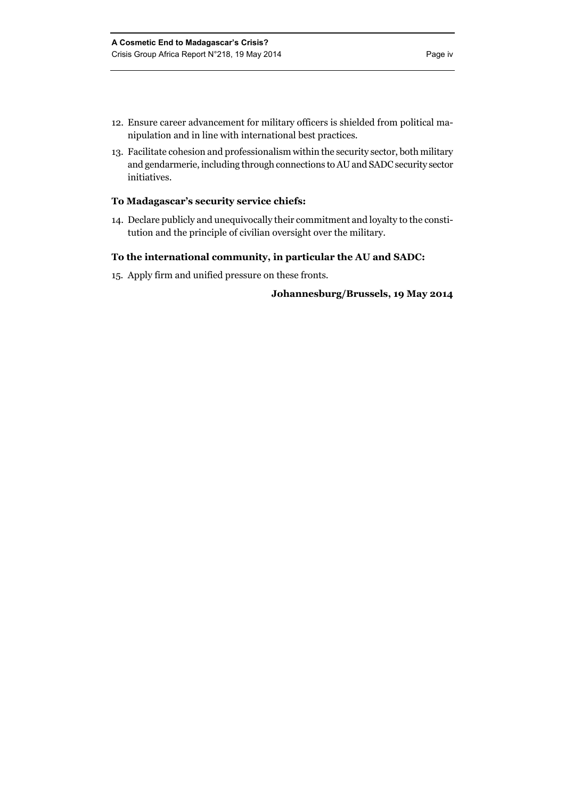- 12. Ensure career advancement for military officers is shielded from political manipulation and in line with international best practices.
- 13. Facilitate cohesion and professionalism within the security sector, both military and gendarmerie, including through connections to AU and SADC security sector initiatives.

#### **To Madagascar's security service chiefs:**

14. Declare publicly and unequivocally their commitment and loyalty to the constitution and the principle of civilian oversight over the military.

#### **To the international community, in particular the AU and SADC:**

15. Apply firm and unified pressure on these fronts.

#### **Johannesburg/Brussels, 19 May 2014**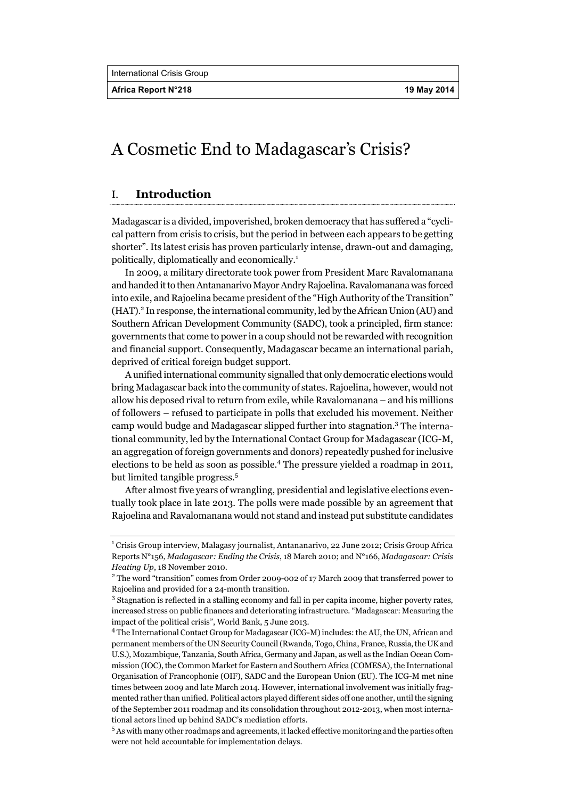**Africa Report N°218 19 May 2014** 

# A Cosmetic End to Madagascar's Crisis?

#### I. **Introduction**

Madagascar is a divided, impoverished, broken democracy that has suffered a "cyclical pattern from crisis to crisis, but the period in between each appears to be getting shorter". Its latest crisis has proven particularly intense, drawn-out and damaging, politically, diplomatically and economically.1

In 2009, a military directorate took power from President Marc Ravalomanana and handed it to then Antananarivo Mayor Andry Rajoelina. Ravalomanana was forced into exile, and Rajoelina became president of the "High Authority of the Transition" (HAT).<sup>2</sup> In response, the international community, led by the African Union (AU) and Southern African Development Community (SADC), took a principled, firm stance: governments that come to power in a coup should not be rewarded with recognition and financial support. Consequently, Madagascar became an international pariah, deprived of critical foreign budget support.

A unified international community signalled that only democratic elections would bring Madagascar back into the community of states. Rajoelina, however, would not allow his deposed rival to return from exile, while Ravalomanana – and his millions of followers – refused to participate in polls that excluded his movement. Neither camp would budge and Madagascar slipped further into stagnation.<sup>3</sup> The international community, led by the International Contact Group for Madagascar (ICG-M, an aggregation of foreign governments and donors) repeatedly pushed for inclusive elections to be held as soon as possible.<sup>4</sup> The pressure yielded a roadmap in 2011, but limited tangible progress.<sup>5</sup>

After almost five years of wrangling, presidential and legislative elections eventually took place in late 2013. The polls were made possible by an agreement that Rajoelina and Ravalomanana would not stand and instead put substitute candidates

<sup>&</sup>lt;sup>1</sup> Crisis Group interview, Malagasy journalist, Antananarivo, 22 June 2012; Crisis Group Africa Reports N°156, *Madagascar: Ending the Crisis*, 18 March 2010; and N°166, *Madagascar: Crisis Heating Up.* 18 November 2010.

<sup>&</sup>lt;sup>2</sup> The word "transition" comes from Order 2009-002 of 17 March 2009 that transferred power to Rajoelina and provided for a 24-month transition.

<sup>&</sup>lt;sup>3</sup> Stagnation is reflected in a stalling economy and fall in per capita income, higher poverty rates, increased stress on public finances and deteriorating infrastructure. "Madagascar: Measuring the impact of the political crisis", World Bank, 5 June 2013.

<sup>&</sup>lt;sup>4</sup> The International Contact Group for Madagascar (ICG-M) includes: the AU, the UN, African and permanent members of the UN Security Council (Rwanda, Togo, China, France, Russia, the UK and U.S.), Mozambique, Tanzania, South Africa, Germany and Japan, as well as the Indian Ocean Commission (IOC), the Common Market for Eastern and Southern Africa (COMESA), the International Organisation of Francophonie (OIF), SADC and the European Union (EU). The ICG-M met nine times between 2009 and late March 2014. However, international involvement was initially fragmented rather than unified. Political actors played different sides off one another, until the signing of the September 2011 roadmap and its consolidation throughout 2012-2013, when most international actors lined up behind SADC's mediation efforts.

<sup>&</sup>lt;sup>5</sup> As with many other roadmaps and agreements, it lacked effective monitoring and the parties often were not held accountable for implementation delays.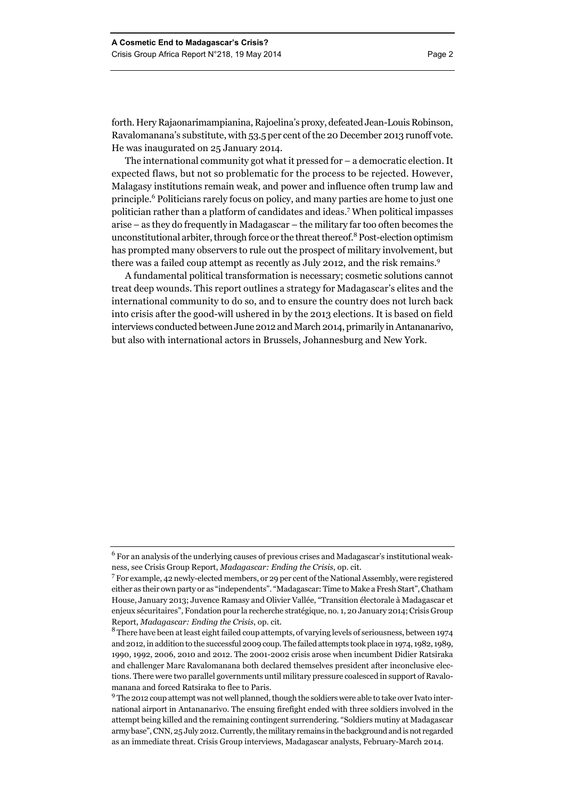forth. Hery Rajaonarimampianina, Rajoelina's proxy, defeated Jean-Louis Robinson, Ravalomanana's substitute, with 53.5 per cent of the 20 December 2013 runoff vote. He was inaugurated on 25 January 2014.

The international community got what it pressed for – a democratic election. It expected flaws, but not so problematic for the process to be rejected. However, Malagasy institutions remain weak, and power and influence often trump law and principle.<sup>6</sup> Politicians rarely focus on policy, and many parties are home to just one politician rather than a platform of candidates and ideas.<sup>7</sup> When political impasses arise – as they do frequently in Madagascar – the military far too often becomes the unconstitutional arbiter, through force or the threat thereof.<sup>8</sup> Post-election optimism has prompted many observers to rule out the prospect of military involvement, but there was a failed coup attempt as recently as July 2012, and the risk remains.<sup>9</sup>

A fundamental political transformation is necessary; cosmetic solutions cannot treat deep wounds. This report outlines a strategy for Madagascar's elites and the international community to do so, and to ensure the country does not lurch back into crisis after the good-will ushered in by the 2013 elections. It is based on field interviews conducted between June 2012 and March 2014, primarily in Antananarivo, but also with international actors in Brussels, Johannesburg and New York.

<sup>&</sup>lt;sup>6</sup> For an analysis of the underlying causes of previous crises and Madagascar's institutional weakness, see Crisis Group Report, *Madagascar: Ending the Crisis*, op. cit.

 $7$  For example, 42 newly-elected members, or 29 per cent of the National Assembly, were registered either as their own party or as "independents". "Madagascar: Time to Make a Fresh Start", Chatham House, January 2013; Juvence Ramasy and Olivier Vallée, "Transition électorale à Madagascar et enjeux sécuritaires", Fondation pour la recherche stratégique, no. 1, 20 January 2014; Crisis Group Report, *Madagascar: Ending the Crisis*, op. cit.

 $^8$  There have been at least eight failed coup attempts, of varying levels of seriousness, between 1974 and 2012, in addition to the successful 2009 coup. The failed attempts took place in 1974, 1982, 1989, 1990, 1992, 2006, 2010 and 2012. The 2001-2002 crisis arose when incumbent Didier Ratsiraka and challenger Marc Ravalomanana both declared themselves president after inconclusive elections. There were two parallel governments until military pressure coalesced in support of Ravalomanana and forced Ratsiraka to flee to Paris.

<sup>&</sup>lt;sup>9</sup> The 2012 coup attempt was not well planned, though the soldiers were able to take over Ivato international airport in Antananarivo. The ensuing firefight ended with three soldiers involved in the attempt being killed and the remaining contingent surrendering. "Soldiers mutiny at Madagascar army base", CNN, 25 July 2012. Currently, the military remains in the background and is not regarded as an immediate threat. Crisis Group interviews, Madagascar analysts, February-March 2014.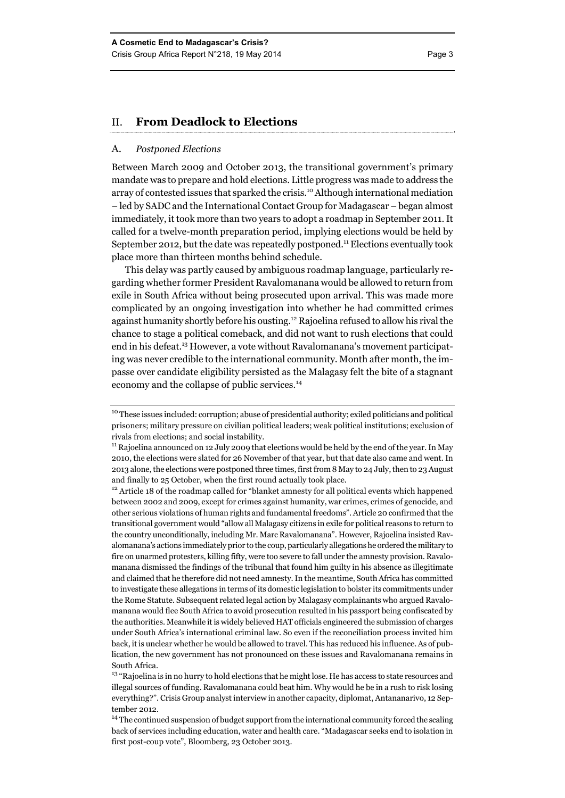#### II. **From Deadlock to Elections**

#### A. *Postponed Elections*

Between March 2009 and October 2013, the transitional government's primary mandate was to prepare and hold elections. Little progress was made to address the array of contested issues that sparked the crisis.10 Although international mediation – led by SADC and the International Contact Group for Madagascar – began almost immediately, it took more than two years to adopt a roadmap in September 2011. It called for a twelve-month preparation period, implying elections would be held by September 2012, but the date was repeatedly postponed.<sup>11</sup> Elections eventually took place more than thirteen months behind schedule.

This delay was partly caused by ambiguous roadmap language, particularly regarding whether former President Ravalomanana would be allowed to return from exile in South Africa without being prosecuted upon arrival. This was made more complicated by an ongoing investigation into whether he had committed crimes against humanity shortly before his ousting.12 Rajoelina refused to allow his rival the chance to stage a political comeback, and did not want to rush elections that could end in his defeat.13 However, a vote without Ravalomanana's movement participating was never credible to the international community. Month after month, the impasse over candidate eligibility persisted as the Malagasy felt the bite of a stagnant economy and the collapse of public services.<sup>14</sup>

<sup>&</sup>lt;sup>10</sup> These issues included: corruption; abuse of presidential authority; exiled politicians and political prisoners; military pressure on civilian political leaders; weak political institutions; exclusion of rivals from elections; and social instability.

<sup>&</sup>lt;sup>11</sup> Rajoelina announced on 12 July 2009 that elections would be held by the end of the year. In May 2010, the elections were slated for 26 November of that year, but that date also came and went. In 2013 alone, the elections were postponed three times, first from 8 May to 24 July, then to 23 August and finally to 25 October, when the first round actually took place.<br><sup>12</sup> Article 18 of the roadmap called for "blanket amnesty for all political events which happened

between 2002 and 2009, except for crimes against humanity, war crimes, crimes of genocide, and other serious violations of human rights and fundamental freedoms". Article 20 confirmed that the transitional government would "allow all Malagasy citizens in exile for political reasons to return to the country unconditionally, including Mr. Marc Ravalomanana". However, Rajoelina insisted Ravalomanana's actions immediately prior to the coup, particularly allegations he ordered the military to fire on unarmed protesters, killing fifty, were too severe to fall under the amnesty provision. Ravalomanana dismissed the findings of the tribunal that found him guilty in his absence as illegitimate and claimed that he therefore did not need amnesty. In the meantime, South Africa has committed to investigate these allegations in terms of its domestic legislation to bolster its commitments under the Rome Statute. Subsequent related legal action by Malagasy complainants who argued Ravalomanana would flee South Africa to avoid prosecution resulted in his passport being confiscated by the authorities. Meanwhile it is widely believed HAT officials engineered the submission of charges under South Africa's international criminal law. So even if the reconciliation process invited him back, it is unclear whether he would be allowed to travel. This has reduced his influence. As of publication, the new government has not pronounced on these issues and Ravalomanana remains in South Africa.

<sup>&</sup>lt;sup>13</sup> "Rajoelina is in no hurry to hold elections that he might lose. He has access to state resources and illegal sources of funding. Ravalomanana could beat him. Why would he be in a rush to risk losing everything?". Crisis Group analyst interview in another capacity, diplomat, Antananarivo, 12 September 2012.

<sup>&</sup>lt;sup>14</sup> The continued suspension of budget support from the international community forced the scaling back of services including education, water and health care. "Madagascar seeks end to isolation in first post-coup vote", Bloomberg, 23 October 2013.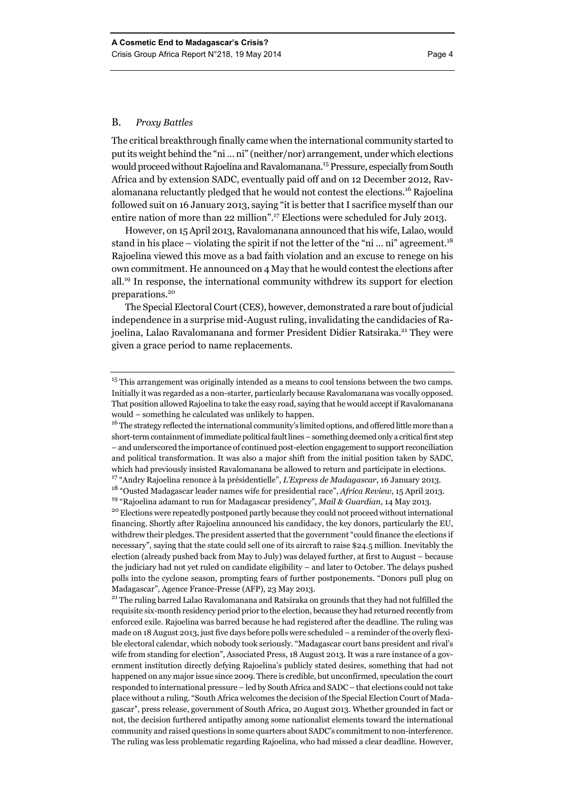#### B. *Proxy Battles*

The critical breakthrough finally came when the international community started to put its weight behind the "ni … ni" (neither/nor) arrangement, under which elections would proceed without Rajoelina and Ravalomanana.15 Pressure, especially from South Africa and by extension SADC, eventually paid off and on 12 December 2012, Ravalomanana reluctantly pledged that he would not contest the elections.16 Rajoelina followed suit on 16 January 2013, saying "it is better that I sacrifice myself than our entire nation of more than 22 million".17 Elections were scheduled for July 2013.

However, on 15 April 2013, Ravalomanana announced that his wife, Lalao, would stand in his place – violating the spirit if not the letter of the "ni ... ni" agreement.<sup>18</sup> Rajoelina viewed this move as a bad faith violation and an excuse to renege on his own commitment. He announced on 4 May that he would contest the elections after all.19 In response, the international community withdrew its support for election preparations.<sup>20</sup>

The Special Electoral Court (CES), however, demonstrated a rare bout of judicial independence in a surprise mid-August ruling, invalidating the candidacies of Rajoelina, Lalao Ravalomanana and former President Didier Ratsiraka.<sup>21</sup> They were given a grace period to name replacements.

Madagascar", Agence France-Presse (AFP), 23 May 2013. 21 The ruling barred Lalao Ravalomanana and Ratsiraka on grounds that they had not fulfilled the requisite six-month residency period prior to the election, because they had returned recently from enforced exile. Rajoelina was barred because he had registered after the deadline. The ruling was made on 18 August 2013, just five days before polls were scheduled – a reminder of the overly flexible electoral calendar, which nobody took seriously. "Madagascar court bans president and rival's wife from standing for election", Associated Press, 18 August 2013. It was a rare instance of a government institution directly defying Rajoelina's publicly stated desires, something that had not happened on any major issue since 2009. There is credible, but unconfirmed, speculation the court responded to international pressure – led by South Africa and SADC – that elections could not take place without a ruling. "South Africa welcomes the decision of the Special Election Court of Madagascar", press release, government of South Africa, 20 August 2013. Whether grounded in fact or not, the decision furthered antipathy among some nationalist elements toward the international community and raised questions in some quarters about SADC's commitment to non-interference. The ruling was less problematic regarding Rajoelina, who had missed a clear deadline. However,

 $15$  This arrangement was originally intended as a means to cool tensions between the two camps. Initially it was regarded as a non-starter, particularly because Ravalomanana was vocally opposed. That position allowed Rajoelina to take the easy road, saying that he would accept if Ravalomanana would – something he calculated was unlikely to happen.

<sup>&</sup>lt;sup>16</sup> The strategy reflected the international community's limited options, and offered little more than a short-term containment of immediate political fault lines – something deemed only a critical first step – and underscored the importance of continued post-election engagement to support reconciliation and political transformation. It was also a major shift from the initial position taken by SADC, which had previously insisted Ravalomanana be allowed to return and participate in elections.

<sup>17 &</sup>quot;Andry Rajoelina renonce à la présidentielle", *L'Express de Madagascar*, 16 January 2013. 18 "Ousted Madagascar leader names wife for presidential race", *Africa Review*, 15 April 2013.

<sup>&</sup>lt;sup>19</sup> "Rajoelina adamant to run for Madagascar presidency", *Mail & Guardian*, 14 May 2013.<br><sup>20</sup> Elections were repeatedly postponed partly because they could not proceed without international financing. Shortly after Rajoelina announced his candidacy, the key donors, particularly the EU, withdrew their pledges. The president asserted that the government "could finance the elections if necessary", saying that the state could sell one of its aircraft to raise \$24.5 million. Inevitably the election (already pushed back from May to July) was delayed further, at first to August – because the judiciary had not yet ruled on candidate eligibility – and later to October. The delays pushed polls into the cyclone season, prompting fears of further postponements. "Donors pull plug on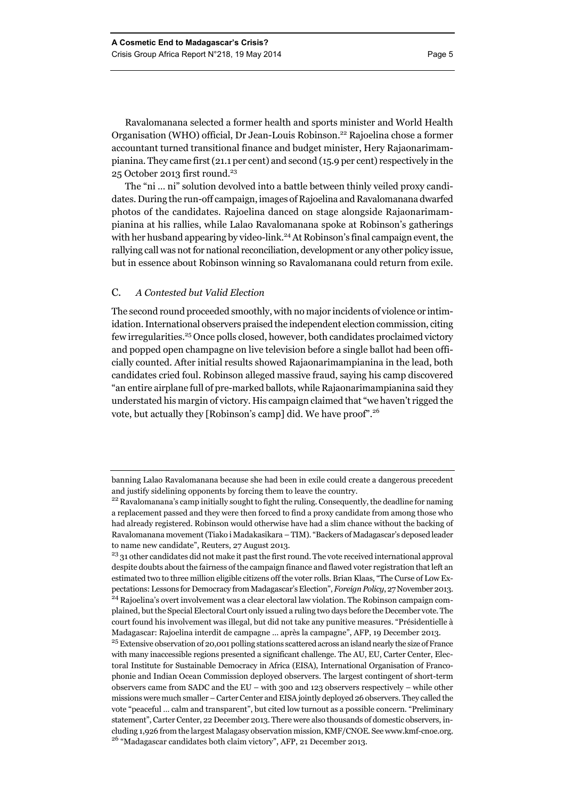Ravalomanana selected a former health and sports minister and World Health Organisation (WHO) official, Dr Jean-Louis Robinson.22 Rajoelina chose a former accountant turned transitional finance and budget minister, Hery Rajaonarimampianina. They came first (21.1 per cent) and second (15.9 per cent) respectively in the 25 October 2013 first round.<sup>23</sup>

The "ni … ni" solution devolved into a battle between thinly veiled proxy candidates. During the run-off campaign, images of Rajoelina and Ravalomanana dwarfed photos of the candidates. Rajoelina danced on stage alongside Rajaonarimampianina at his rallies, while Lalao Ravalomanana spoke at Robinson's gatherings with her husband appearing by video-link.<sup>24</sup> At Robinson's final campaign event, the rallying call was not for national reconciliation, development or any other policy issue, but in essence about Robinson winning so Ravalomanana could return from exile.

#### C. *A Contested but Valid Election*

The second round proceeded smoothly, with no major incidents of violence or intimidation. International observers praised the independent election commission, citing few irregularities.25 Once polls closed, however, both candidates proclaimed victory and popped open champagne on live television before a single ballot had been officially counted. After initial results showed Rajaonarimampianina in the lead, both candidates cried foul. Robinson alleged massive fraud, saying his camp discovered "an entire airplane full of pre-marked ballots, while Rajaonarimampianina said they understated his margin of victory. His campaign claimed that "we haven't rigged the vote, but actually they [Robinson's camp] did. We have proof".<sup>26</sup>

banning Lalao Ravalomanana because she had been in exile could create a dangerous precedent and justify sidelining opponents by forcing them to leave the country.

<sup>&</sup>lt;sup>22</sup> Ravalomanana's camp initially sought to fight the ruling. Consequently, the deadline for naming a replacement passed and they were then forced to find a proxy candidate from among those who had already registered. Robinson would otherwise have had a slim chance without the backing of Ravalomanana movement (Tiako i Madakasikara – TIM). "Backers of Madagascar's deposed leader to name new candidate", Reuters, 27 August 2013.

<sup>&</sup>lt;sup>23</sup> 31 other candidates did not make it past the first round. The vote received international approval despite doubts about the fairness of the campaign finance and flawed voter registration that left an estimated two to three million eligible citizens off the voter rolls. Brian Klaas, "The Curse of Low Expectations: Lessons for Democracy from Madagascar's Election", *Foreign Policy*, 27 November 2013. <sup>24</sup> Rajoelina's overt involvement was a clear electoral law violation. The Robinson campaign complained, but the Special Electoral Court only issued a ruling two days before the December vote. The court found his involvement was illegal, but did not take any punitive measures. "Présidentielle à Madagascar: Rajoelina interdit de campagne … après la campagne", AFP, 19 December 2013.

<sup>&</sup>lt;sup>25</sup> Extensive observation of 20,001 polling stations scattered across an island nearly the size of France with many inaccessible regions presented a significant challenge. The AU, EU, Carter Center, Electoral Institute for Sustainable Democracy in Africa (EISA), International Organisation of Francophonie and Indian Ocean Commission deployed observers. The largest contingent of short-term observers came from SADC and the EU – with 300 and 123 observers respectively – while other missions were much smaller – Carter Center and EISA jointly deployed 26 observers. They called the vote "peaceful … calm and transparent", but cited low turnout as a possible concern. "Preliminary statement", Carter Center, 22 December 2013. There were also thousands of domestic observers, including 1,926 from the largest Malagasy observation mission, KMF/CNOE. See www.kmf-cnoe.org. 26 "Madagascar candidates both claim victory", AFP, 21 December 2013.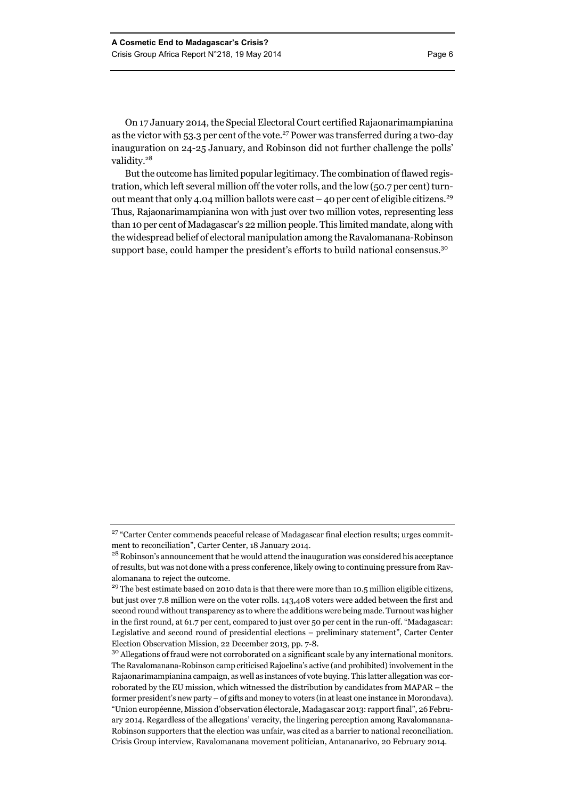On 17 January 2014, the Special Electoral Court certified Rajaonarimampianina as the victor with 53.3 per cent of the vote.<sup>27</sup> Power was transferred during a two-day inauguration on 24-25 January, and Robinson did not further challenge the polls' validity.<sup>28</sup>

But the outcome has limited popular legitimacy. The combination of flawed registration, which left several million off the voter rolls, and the low (50.7 per cent) turnout meant that only 4.04 million ballots were cast  $-$  40 per cent of eligible citizens.<sup>29</sup> Thus, Rajaonarimampianina won with just over two million votes, representing less than 10 per cent of Madagascar's 22 million people. This limited mandate, along with the widespread belief of electoral manipulation among the Ravalomanana-Robinson support base, could hamper the president's efforts to build national consensus.<sup>30</sup>

<sup>&</sup>lt;sup>27</sup> "Carter Center commends peaceful release of Madagascar final election results; urges commitment to reconciliation", Carter Center, 18 January 2014.

<sup>&</sup>lt;sup>28</sup> Robinson's announcement that he would attend the inauguration was considered his acceptance of results, but was not done with a press conference, likely owing to continuing pressure from Ravalomanana to reject the outcome.

<sup>&</sup>lt;sup>29</sup> The best estimate based on 2010 data is that there were more than 10.5 million eligible citizens, but just over 7.8 million were on the voter rolls. 143,408 voters were added between the first and second round without transparency as to where the additions were being made. Turnout was higher in the first round, at 61.7 per cent, compared to just over 50 per cent in the run-off. "Madagascar: Legislative and second round of presidential elections – preliminary statement", Carter Center Election Observation Mission, 22 December 2013, pp. 7-8.

<sup>&</sup>lt;sup>30</sup> Allegations of fraud were not corroborated on a significant scale by any international monitors. The Ravalomanana-Robinson camp criticised Rajoelina's active (and prohibited) involvement in the Rajaonarimampianina campaign, as well as instances of vote buying. This latter allegation was corroborated by the EU mission, which witnessed the distribution by candidates from MAPAR – the former president's new party – of gifts and money to voters (in at least one instance in Morondava). "Union européenne, Mission d'observation électorale, Madagascar 2013: rapport final", 26 February 2014. Regardless of the allegations' veracity, the lingering perception among Ravalomanana-Robinson supporters that the election was unfair, was cited as a barrier to national reconciliation. Crisis Group interview, Ravalomanana movement politician, Antananarivo, 20 February 2014.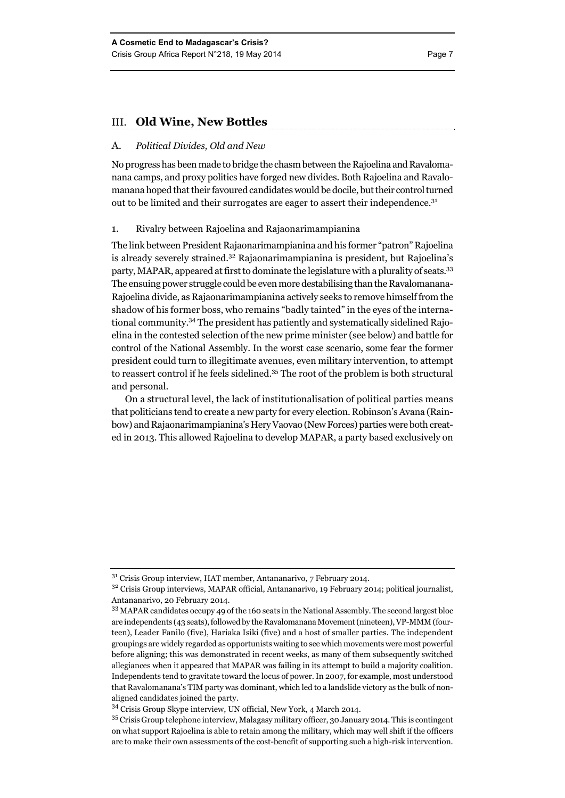#### III. **Old Wine, New Bottles**

#### A. *Political Divides, Old and New*

No progress has been made to bridge the chasm between the Rajoelina and Ravalomanana camps, and proxy politics have forged new divides. Both Rajoelina and Ravalomanana hoped that their favoured candidates would be docile, but their control turned out to be limited and their surrogates are eager to assert their independence.<sup>31</sup>

#### 1. Rivalry between Rajoelina and Rajaonarimampianina

The link between President Rajaonarimampianina and his former "patron" Rajoelina is already severely strained.32 Rajaonarimampianina is president, but Rajoelina's party, MAPAR, appeared at first to dominate the legislature with a plurality of seats.33 The ensuing power struggle could be even more destabilising than the Ravalomanana-Rajoelina divide, as Rajaonarimampianina actively seeks to remove himself from the shadow of his former boss, who remains "badly tainted" in the eyes of the international community.34 The president has patiently and systematically sidelined Rajoelina in the contested selection of the new prime minister (see below) and battle for control of the National Assembly. In the worst case scenario, some fear the former president could turn to illegitimate avenues, even military intervention, to attempt to reassert control if he feels sidelined.35 The root of the problem is both structural and personal.

On a structural level, the lack of institutionalisation of political parties means that politicians tend to create a new party for every election. Robinson's Avana (Rainbow) and Rajaonarimampianina's Hery Vaovao (New Forces) parties were both created in 2013. This allowed Rajoelina to develop MAPAR, a party based exclusively on

<sup>&</sup>lt;sup>31</sup> Crisis Group interview, HAT member, Antananarivo, 7 February 2014.

<sup>&</sup>lt;sup>32</sup> Crisis Group interviews, MAPAR official, Antananarivo, 19 February 2014; political journalist, Antananarivo, 20 February 2014.

<sup>33</sup> MAPAR candidates occupy 49 of the 160 seats in the National Assembly. The second largest bloc are independents (43 seats), followed by the Ravalomanana Movement (nineteen), VP-MMM (fourteen), Leader Fanilo (five), Hariaka Isiki (five) and a host of smaller parties. The independent groupings are widely regarded as opportunists waiting to see which movements were most powerful before aligning; this was demonstrated in recent weeks, as many of them subsequently switched allegiances when it appeared that MAPAR was failing in its attempt to build a majority coalition. Independents tend to gravitate toward the locus of power. In 2007, for example, most understood that Ravalomanana's TIM party was dominant, which led to a landslide victory as the bulk of nonaligned candidates joined the party.

<sup>34</sup> Crisis Group Skype interview, UN official, New York, 4 March 2014.

<sup>35</sup> Crisis Group telephone interview, Malagasy military officer, 30 January 2014. This is contingent on what support Rajoelina is able to retain among the military, which may well shift if the officers are to make their own assessments of the cost-benefit of supporting such a high-risk intervention.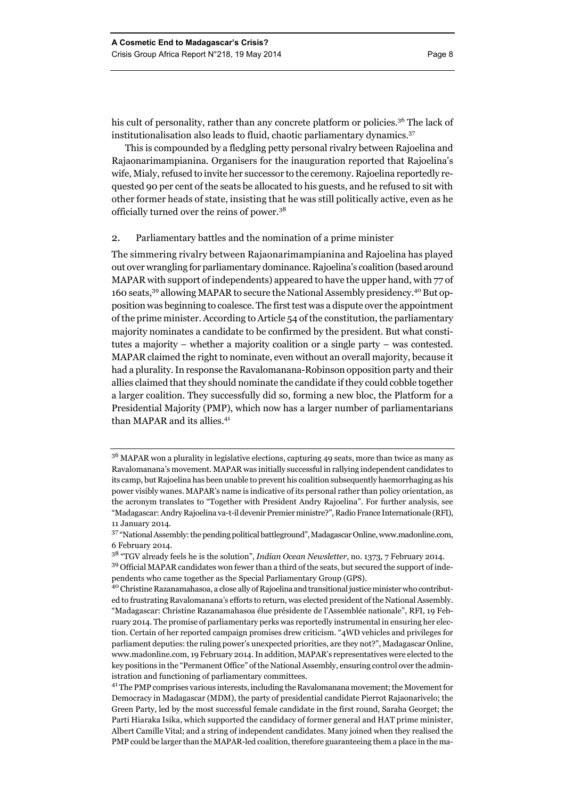his cult of personality, rather than any concrete platform or policies.<sup>36</sup> The lack of institutionalisation also leads to fluid, chaotic parliamentary dynamics.<sup>37</sup>

This is compounded by a fledgling petty personal rivalry between Rajoelina and Rajaonarimampianina. Organisers for the inauguration reported that Rajoelina's wife, Mialy, refused to invite her successor to the ceremony. Rajoelina reportedly requested 90 per cent of the seats be allocated to his guests, and he refused to sit with other former heads of state, insisting that he was still politically active, even as he officially turned over the reins of power.<sup>38</sup>

#### 2. Parliamentary battles and the nomination of a prime minister

The simmering rivalry between Rajaonarimampianina and Rajoelina has played out over wrangling for parliamentary dominance. Rajoelina's coalition (based around MAPAR with support of independents) appeared to have the upper hand, with 77 of 160 seats,39 allowing MAPAR to secure the National Assembly presidency.40 But opposition was beginning to coalesce. The first test was a dispute over the appointment of the prime minister. According to Article 54 of the constitution, the parliamentary majority nominates a candidate to be confirmed by the president. But what constitutes a majority – whether a majority coalition or a single party – was contested. MAPAR claimed the right to nominate, even without an overall majority, because it had a plurality. In response the Ravalomanana-Robinson opposition party and their allies claimed that they should nominate the candidate if they could cobble together a larger coalition. They successfully did so, forming a new bloc, the Platform for a Presidential Majority (PMP), which now has a larger number of parliamentarians than MAPAR and its allies.<sup>41</sup>

 $3<sup>6</sup>$  MAPAR won a plurality in legislative elections, capturing 49 seats, more than twice as many as Ravalomanana's movement. MAPAR was initially successful in rallying independent candidates to its camp, but Rajoelina has been unable to prevent his coalition subsequently haemorrhaging as his power visibly wanes. MAPAR's name is indicative of its personal rather than policy orientation, as the acronym translates to "Together with President Andry Rajoelina". For further analysis, see "Madagascar: Andry Rajoelina va-t-il devenir Premier ministre?", Radio France Internationale (RFI), 11 January 2014.

<sup>&</sup>lt;sup>37</sup> "National Assembly: the pending political battleground", Madagascar Online, www.madonline.com, 6 February 2014.

<sup>38 &</sup>quot;TGV already feels he is the solution", *Indian Ocean Newsletter*, no. 1373, 7 February 2014. 39 Official MAPAR candidates won fewer than a third of the seats, but secured the support of inde-

pendents who came together as the Special Parliamentary Group (GPS).

<sup>40</sup> Christine Razanamahasoa, a close ally of Rajoelina and transitional justice minister who contributed to frustrating Ravalomanana's efforts to return, was elected president of the National Assembly. "Madagascar: Christine Razanamahasoa élue présidente de l'Assemblée nationale", RFI, 19 February 2014. The promise of parliamentary perks was reportedly instrumental in ensuring her election. Certain of her reported campaign promises drew criticism. "4WD vehicles and privileges for parliament deputies: the ruling power's unexpected priorities, are they not?", Madagascar Online, www.madonline.com, 19 February 2014. In addition, MAPAR's representatives were elected to the key positions in the "Permanent Office" of the National Assembly, ensuring control over the administration and functioning of parliamentary committees.

<sup>&</sup>lt;sup>41</sup> The PMP comprises various interests, including the Ravalomanana movement; the Movement for Democracy in Madagascar (MDM), the party of presidential candidate Pierrot Rajaonarivelo; the Green Party, led by the most successful female candidate in the first round, Saraha Georget; the Parti Hiaraka Isika, which supported the candidacy of former general and HAT prime minister, Albert Camille Vital; and a string of independent candidates. Many joined when they realised the PMP could be larger than the MAPAR-led coalition, therefore guaranteeing them a place in the ma-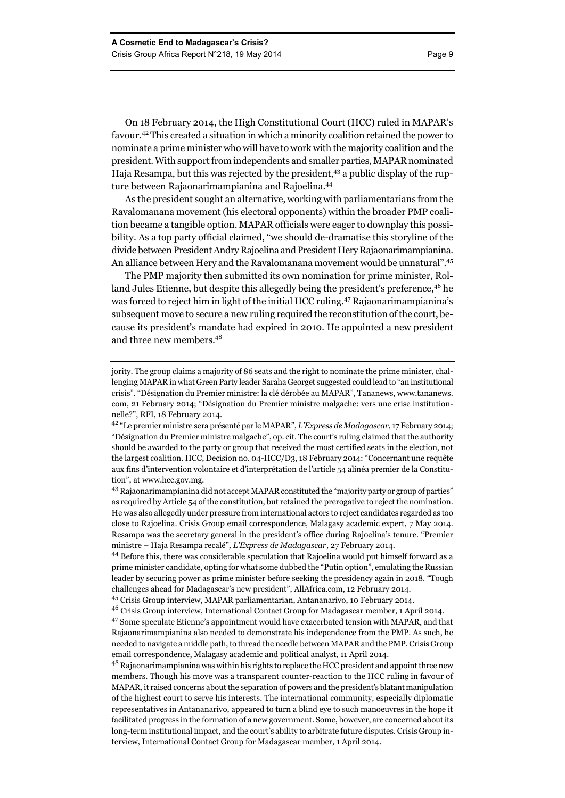On 18 February 2014, the High Constitutional Court (HCC) ruled in MAPAR's favour.42 This created a situation in which a minority coalition retained the power to nominate a prime minister who will have to work with the majority coalition and the president. With support from independents and smaller parties, MAPAR nominated Haja Resampa, but this was rejected by the president,<sup>43</sup> a public display of the rupture between Rajaonarimampianina and Rajoelina.44

As the president sought an alternative, working with parliamentarians from the Ravalomanana movement (his electoral opponents) within the broader PMP coalition became a tangible option. MAPAR officials were eager to downplay this possibility. As a top party official claimed, "we should de-dramatise this storyline of the divide between President Andry Rajoelina and President Hery Rajaonarimampianina. An alliance between Hery and the Ravalomanana movement would be unnatural".<sup>45</sup>

The PMP majority then submitted its own nomination for prime minister, Rolland Jules Etienne, but despite this allegedly being the president's preference,<sup>46</sup> he was forced to reject him in light of the initial HCC ruling.47 Rajaonarimampianina's subsequent move to secure a new ruling required the reconstitution of the court, because its president's mandate had expired in 2010. He appointed a new president and three new members.48

44 Before this, there was considerable speculation that Rajoelina would put himself forward as a prime minister candidate, opting for what some dubbed the "Putin option", emulating the Russian leader by securing power as prime minister before seeking the presidency again in 2018. "Tough challenges ahead for Madagascar's new president", AllAfrica.com, 12 February 2014.

<sup>48</sup> Rajaonarimampianina was within his rights to replace the HCC president and appoint three new members. Though his move was a transparent counter-reaction to the HCC ruling in favour of MAPAR, it raised concerns about the separation of powers and the president's blatant manipulation of the highest court to serve his interests. The international community, especially diplomatic representatives in Antananarivo, appeared to turn a blind eye to such manoeuvres in the hope it facilitated progress in the formation of a new government. Some, however, are concerned about its long-term institutional impact, and the court's ability to arbitrate future disputes. Crisis Group interview, International Contact Group for Madagascar member, 1 April 2014.

jority. The group claims a majority of 86 seats and the right to nominate the prime minister, challenging MAPAR in what Green Party leader Saraha Georget suggested could lead to "an institutional crisis". "Désignation du Premier ministre: la clé dérobée au MAPAR", Tananews, www.tananews. com, 21 February 2014; "Désignation du Premier ministre malgache: vers une crise institutionnelle?", RFI, 18 February 2014.

<sup>42 &</sup>quot;Le premier ministre sera présenté par le MAPAR", *L'Express de Madagascar*, 17 February 2014; "Désignation du Premier ministre malgache", op. cit. The court's ruling claimed that the authority should be awarded to the party or group that received the most certified seats in the election, not the largest coalition. HCC, Decision no. 04-HCC/D3, 18 February 2014: "Concernant une requête aux fins d'intervention volontaire et d'interprétation de l'article 54 alinéa premier de la Constitution", at www.hcc.gov.mg.

<sup>43</sup> Rajaonarimampianina did not accept MAPAR constituted the "majority party or group of parties" as required by Article 54 of the constitution, but retained the prerogative to reject the nomination. He was also allegedly under pressure from international actors to reject candidates regarded as too close to Rajoelina. Crisis Group email correspondence, Malagasy academic expert, 7 May 2014. Resampa was the secretary general in the president's office during Rajoelina's tenure. "Premier ministre – Haja Resampa recalé", *L'Express de Madagascar*, 27 February 2014.

<sup>45</sup> Crisis Group interview, MAPAR parliamentarian, Antananarivo, 10 February 2014.

<sup>46</sup> Crisis Group interview, International Contact Group for Madagascar member, 1 April 2014.

<sup>47</sup> Some speculate Etienne's appointment would have exacerbated tension with MAPAR, and that Rajaonarimampianina also needed to demonstrate his independence from the PMP. As such, he needed to navigate a middle path, to thread the needle between MAPAR and the PMP. Crisis Group email correspondence, Malagasy academic and political analyst, 11 April 2014.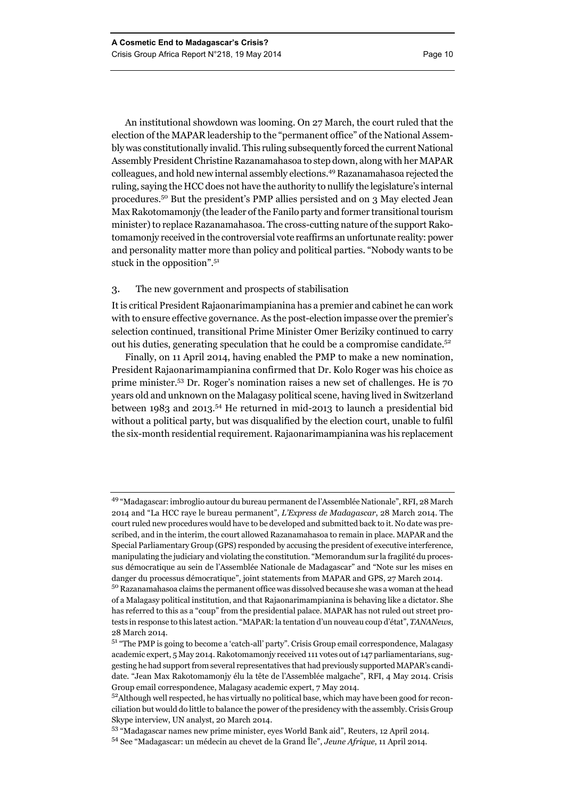An institutional showdown was looming. On 27 March, the court ruled that the election of the MAPAR leadership to the "permanent office" of the National Assembly was constitutionally invalid. This ruling subsequently forced the current National Assembly President Christine Razanamahasoa to step down, along with her MAPAR colleagues, and hold new internal assembly elections.49 Razanamahasoa rejected the ruling, saying the HCC does not have the authority to nullify the legislature's internal procedures.50 But the president's PMP allies persisted and on 3 May elected Jean Max Rakotomamonjy (the leader of the Fanilo party and former transitional tourism minister) to replace Razanamahasoa. The cross-cutting nature of the support Rakotomamonjy received in the controversial vote reaffirms an unfortunate reality: power and personality matter more than policy and political parties. "Nobody wants to be stuck in the opposition".51

#### 3. The new government and prospects of stabilisation

It is critical President Rajaonarimampianina has a premier and cabinet he can work with to ensure effective governance. As the post-election impasse over the premier's selection continued, transitional Prime Minister Omer Beriziky continued to carry out his duties, generating speculation that he could be a compromise candidate.<sup>52</sup>

Finally, on 11 April 2014, having enabled the PMP to make a new nomination, President Rajaonarimampianina confirmed that Dr. Kolo Roger was his choice as prime minister.53 Dr. Roger's nomination raises a new set of challenges. He is 70 years old and unknown on the Malagasy political scene, having lived in Switzerland between 1983 and 2013.<sup>54</sup> He returned in mid-2013 to launch a presidential bid without a political party, but was disqualified by the election court, unable to fulfil the six-month residential requirement. Rajaonarimampianina was his replacement

<sup>49 &</sup>quot;Madagascar: imbroglio autour du bureau permanent de l'Assemblée Nationale", RFI, 28 March 2014 and "La HCC raye le bureau permanent", *L'Express de Madagascar*, 28 March 2014. The court ruled new procedures would have to be developed and submitted back to it. No date was prescribed, and in the interim, the court allowed Razanamahasoa to remain in place. MAPAR and the Special Parliamentary Group (GPS) responded by accusing the president of executive interference, manipulating the judiciary and violating the constitution. "Memorandum sur la fragilité du processus démocratique au sein de l'Assemblée Nationale de Madagascar" and "Note sur les mises en danger du processus démocratique", joint statements from MAPAR and GPS, 27 March 2014.

 $^{50}$ Razanamahasoa claims the permanent office was dissolved because she was a woman at the head of a Malagasy political institution, and that Rajaonarimampianina is behaving like a dictator. She has referred to this as a "coup" from the presidential palace. MAPAR has not ruled out street protests in response to this latest action. "MAPAR: la tentation d'un nouveau coup d'état", *TANANews*, 28 March 2014.

<sup>51 &</sup>quot;The PMP is going to become a 'catch-all' party". Crisis Group email correspondence, Malagasy academic expert, 5 May 2014. Rakotomamonjy received 111 votes out of 147 parliamentarians, suggesting he had support from several representatives that had previously supported MAPAR's candidate. "Jean Max Rakotomamonjy élu la tête de l'Assemblée malgache", RFI, 4 May 2014. Crisis Group email correspondence, Malagasy academic expert, 7 May 2014.

 $5<sup>2</sup>$ Although well respected, he has virtually no political base, which may have been good for reconciliation but would do little to balance the power of the presidency with the assembly. Crisis Group Skype interview, UN analyst, 20 March 2014.

<sup>53 &</sup>quot;Madagascar names new prime minister, eyes World Bank aid", Reuters, 12 April 2014.

<sup>54</sup> See "Madagascar: un médecin au chevet de la Grand Île", *Jeune Afrique*, 11 April 2014.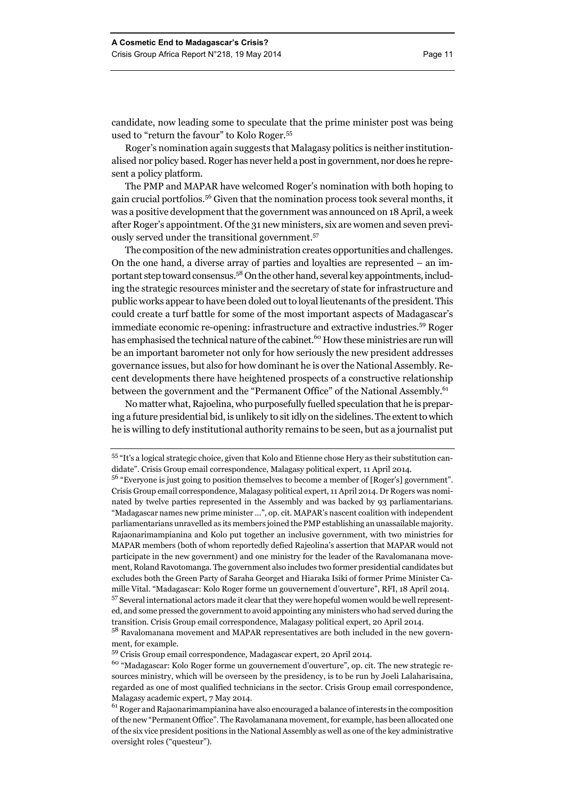candidate, now leading some to speculate that the prime minister post was being used to "return the favour" to Kolo Roger.<sup>55</sup>

Roger's nomination again suggests that Malagasy politics is neither institutionalised nor policy based. Roger has never held a post in government, nor does he represent a policy platform.

The PMP and MAPAR have welcomed Roger's nomination with both hoping to gain crucial portfolios.56 Given that the nomination process took several months, it was a positive development that the government was announced on 18 April, a week after Roger's appointment. Of the 31 new ministers, six are women and seven previously served under the transitional government.57

The composition of the new administration creates opportunities and challenges. On the one hand, a diverse array of parties and loyalties are represented – an important step toward consensus.58 On the other hand, several key appointments, including the strategic resources minister and the secretary of state for infrastructure and public works appear to have been doled out to loyal lieutenants of the president. This could create a turf battle for some of the most important aspects of Madagascar's immediate economic re-opening: infrastructure and extractive industries.59 Roger has emphasised the technical nature of the cabinet.<sup>60</sup> How these ministries are run will be an important barometer not only for how seriously the new president addresses governance issues, but also for how dominant he is over the National Assembly. Recent developments there have heightened prospects of a constructive relationship between the government and the "Permanent Office" of the National Assembly.<sup>61</sup>

No matter what, Rajoelina, who purposefully fuelled speculation that he is preparing a future presidential bid, is unlikely to sit idly on the sidelines. The extent to which he is willing to defy institutional authority remains to be seen, but as a journalist put

<sup>55 &</sup>quot;It's a logical strategic choice, given that Kolo and Etienne chose Hery as their substitution candidate". Crisis Group email correspondence, Malagasy political expert, 11 April 2014.

<sup>56 &</sup>quot;Everyone is just going to position themselves to become a member of [Roger's] government". Crisis Group email correspondence, Malagasy political expert, 11 April 2014. Dr Rogers was nominated by twelve parties represented in the Assembly and was backed by 93 parliamentarians. "Madagascar names new prime minister …", op. cit. MAPAR's nascent coalition with independent parliamentarians unravelled as its members joined the PMP establishing an unassailable majority. Rajaonarimampianina and Kolo put together an inclusive government, with two ministries for MAPAR members (both of whom reportedly defied Rajeolina's assertion that MAPAR would not participate in the new government) and one ministry for the leader of the Ravalomanana movement, Roland Ravotomanga. The government also includes two former presidential candidates but excludes both the Green Party of Saraha Georget and Hiaraka Isiki of former Prime Minister Camille Vital. "Madagascar: Kolo Roger forme un gouvernement d'ouverture", RFI, 18 April 2014. 57 Several international actors made it clear that they were hopeful women would be well represented, and some pressed the government to avoid appointing any ministers who had served during the

transition. Crisis Group email correspondence, Malagasy political expert, 20 April 2014.

<sup>58</sup> Ravalomanana movement and MAPAR representatives are both included in the new government, for example.

<sup>59</sup> Crisis Group email correspondence, Madagascar expert, 20 April 2014.

<sup>60 &</sup>quot;Madagascar: Kolo Roger forme un gouvernement d'ouverture", op. cit. The new strategic resources ministry, which will be overseen by the presidency, is to be run by Joeli Lalaharisaina, regarded as one of most qualified technicians in the sector. Crisis Group email correspondence, Malagasy academic expert, 7 May 2014.

<sup>&</sup>lt;sup>61</sup> Roger and Rajaonarimampianina have also encouraged a balance of interests in the composition of the new "Permanent Office". The Ravolamanana movement, for example, has been allocated one of the six vice president positions in the National Assembly as well as one of the key administrative oversight roles ("questeur").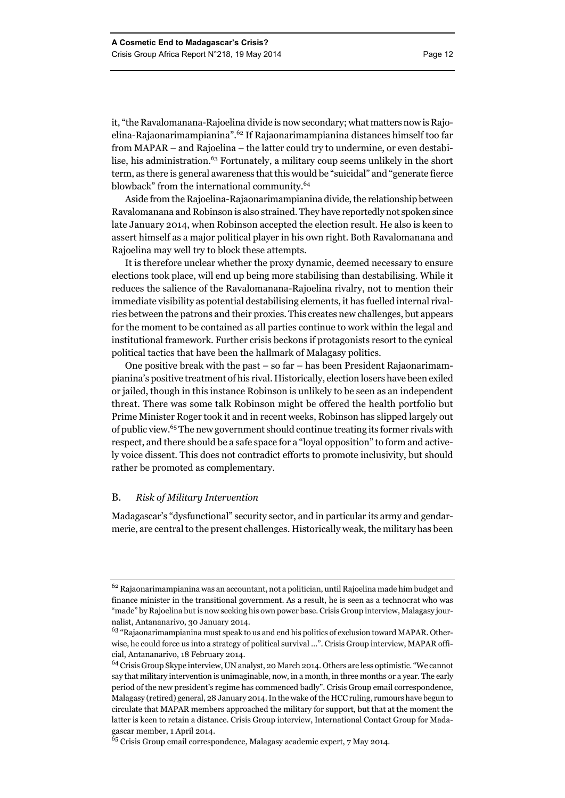it, "the Ravalomanana-Rajoelina divide is now secondary; what matters now is Rajoelina-Rajaonarimampianina".62 If Rajaonarimampianina distances himself too far from MAPAR – and Rajoelina – the latter could try to undermine, or even destabilise, his administration.<sup>63</sup> Fortunately, a military coup seems unlikely in the short term, as there is general awareness that this would be "suicidal" and "generate fierce blowback" from the international community.64

Aside from the Rajoelina-Rajaonarimampianina divide, the relationship between Ravalomanana and Robinson is also strained. They have reportedly not spoken since late January 2014, when Robinson accepted the election result. He also is keen to assert himself as a major political player in his own right. Both Ravalomanana and Rajoelina may well try to block these attempts.

It is therefore unclear whether the proxy dynamic, deemed necessary to ensure elections took place, will end up being more stabilising than destabilising. While it reduces the salience of the Ravalomanana-Rajoelina rivalry, not to mention their immediate visibility as potential destabilising elements, it has fuelled internal rivalries between the patrons and their proxies. This creates new challenges, but appears for the moment to be contained as all parties continue to work within the legal and institutional framework. Further crisis beckons if protagonists resort to the cynical political tactics that have been the hallmark of Malagasy politics.

One positive break with the past – so far – has been President Rajaonarimampianina's positive treatment of his rival. Historically, election losers have been exiled or jailed, though in this instance Robinson is unlikely to be seen as an independent threat. There was some talk Robinson might be offered the health portfolio but Prime Minister Roger took it and in recent weeks, Robinson has slipped largely out of public view.65 The new government should continue treating its former rivals with respect, and there should be a safe space for a "loyal opposition" to form and actively voice dissent. This does not contradict efforts to promote inclusivity, but should rather be promoted as complementary.

#### B. *Risk of Military Intervention*

Madagascar's "dysfunctional" security sector, and in particular its army and gendarmerie, are central to the present challenges. Historically weak, the military has been

<sup>62</sup> Rajaonarimampianina was an accountant, not a politician, until Rajoelina made him budget and finance minister in the transitional government. As a result, he is seen as a technocrat who was "made" by Rajoelina but is now seeking his own power base. Crisis Group interview, Malagasy journalist, Antananarivo, 30 January 2014.

<sup>&</sup>lt;sup>63</sup> "Rajaonarimampianina must speak to us and end his politics of exclusion toward MAPAR. Otherwise, he could force us into a strategy of political survival ...". Crisis Group interview, MAPAR official, Antananarivo, 18 February 2014.

<sup>&</sup>lt;sup>64</sup> Crisis Group Skype interview, UN analyst, 20 March 2014. Others are less optimistic. "We cannot say that military intervention is unimaginable, now, in a month, in three months or a year. The early period of the new president's regime has commenced badly". Crisis Group email correspondence, Malagasy (retired) general, 28 January 2014. In the wake of the HCC ruling, rumours have begun to circulate that MAPAR members approached the military for support, but that at the moment the latter is keen to retain a distance. Crisis Group interview, International Contact Group for Madagascar member, 1 April 2014.

 $65$  Crisis Group email correspondence, Malagasy academic expert, 7 May 2014.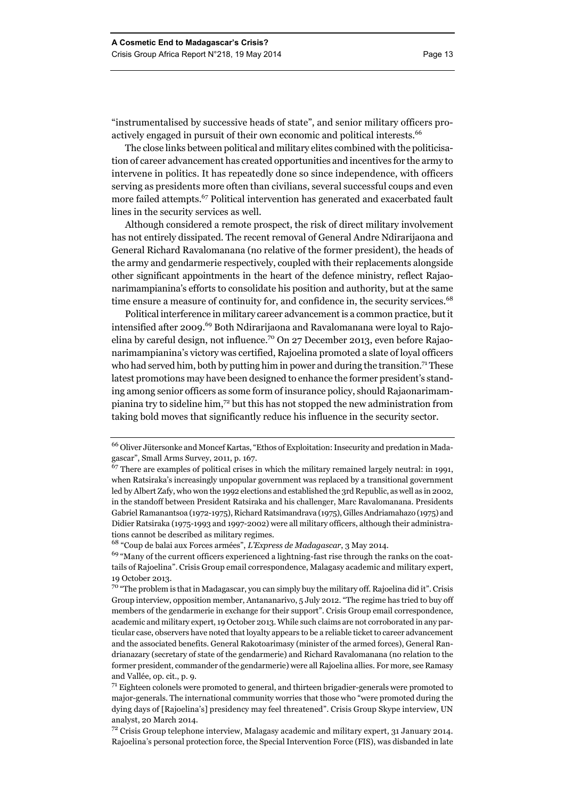"instrumentalised by successive heads of state", and senior military officers proactively engaged in pursuit of their own economic and political interests.<sup>66</sup>

The close links between political and military elites combined with the politicisation of career advancement has created opportunities and incentives for the army to intervene in politics. It has repeatedly done so since independence, with officers serving as presidents more often than civilians, several successful coups and even more failed attempts.<sup>67</sup> Political intervention has generated and exacerbated fault lines in the security services as well.

Although considered a remote prospect, the risk of direct military involvement has not entirely dissipated. The recent removal of General Andre Ndirarijaona and General Richard Ravalomanana (no relative of the former president), the heads of the army and gendarmerie respectively, coupled with their replacements alongside other significant appointments in the heart of the defence ministry, reflect Rajaonarimampianina's efforts to consolidate his position and authority, but at the same time ensure a measure of continuity for, and confidence in, the security services.<sup>68</sup>

Political interference in military career advancement is a common practice, but it intensified after 2009.69 Both Ndirarijaona and Ravalomanana were loyal to Rajoelina by careful design, not influence.70 On 27 December 2013, even before Rajaonarimampianina's victory was certified, Rajoelina promoted a slate of loyal officers who had served him, both by putting him in power and during the transition.<sup>71</sup> These latest promotions may have been designed to enhance the former president's standing among senior officers as some form of insurance policy, should Rajaonarimampianina try to sideline him,72 but this has not stopped the new administration from taking bold moves that significantly reduce his influence in the security sector.

68 "Coup de balai aux Forces armées", *L'Express de Madagascar*, 3 May 2014.

 $72$  Crisis Group telephone interview, Malagasy academic and military expert, 31 January 2014. Rajoelina's personal protection force, the Special Intervention Force (FIS), was disbanded in late

<sup>66</sup> Oliver Jütersonke and Moncef Kartas, "Ethos of Exploitation: Insecurity and predation in Madagascar", Small Arms Survey, 2011, p. 167.

 $67$  There are examples of political crises in which the military remained largely neutral: in 1991, when Ratsiraka's increasingly unpopular government was replaced by a transitional government led by Albert Zafy, who won the 1992 elections and established the 3rd Republic, as well as in 2002, in the standoff between President Ratsiraka and his challenger, Marc Ravalomanana. Presidents Gabriel Ramanantsoa (1972-1975), Richard Ratsimandrava (1975), Gilles Andriamahazo (1975) and Didier Ratsiraka (1975-1993 and 1997-2002) were all military officers, although their administrations cannot be described as military regimes.

<sup>&</sup>lt;sup>69</sup> "Many of the current officers experienced a lightning-fast rise through the ranks on the coattails of Rajoelina". Crisis Group email correspondence, Malagasy academic and military expert, 19 October 2013.

<sup>70 &</sup>quot;The problem is that in Madagascar, you can simply buy the military off. Rajoelina did it". Crisis Group interview, opposition member, Antananarivo, 5 July 2012. "The regime has tried to buy off members of the gendarmerie in exchange for their support". Crisis Group email correspondence, academic and military expert, 19 October 2013. While such claims are not corroborated in any particular case, observers have noted that loyalty appears to be a reliable ticket to career advancement and the associated benefits. General Rakotoarimasy (minister of the armed forces), General Randrianazary (secretary of state of the gendarmerie) and Richard Ravalomanana (no relation to the former president, commander of the gendarmerie) were all Rajoelina allies. For more, see Ramasy and Vallée, op. cit., p. 9.

 $71$  Eighteen colonels were promoted to general, and thirteen brigadier-generals were promoted to major-generals. The international community worries that those who "were promoted during the dying days of [Rajoelina's] presidency may feel threatened". Crisis Group Skype interview, UN analyst, 20 March 2014.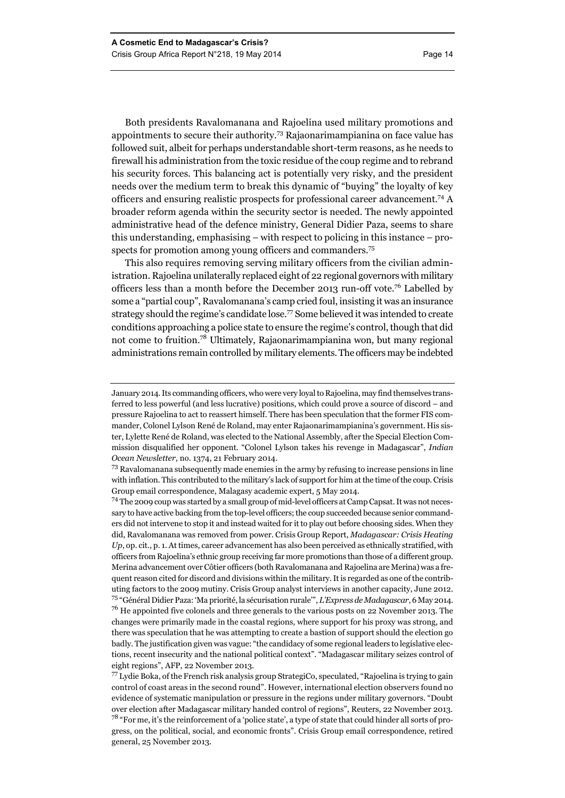Both presidents Ravalomanana and Rajoelina used military promotions and appointments to secure their authority.73 Rajaonarimampianina on face value has followed suit, albeit for perhaps understandable short-term reasons, as he needs to firewall his administration from the toxic residue of the coup regime and to rebrand his security forces. This balancing act is potentially very risky, and the president needs over the medium term to break this dynamic of "buying" the loyalty of key officers and ensuring realistic prospects for professional career advancement.74 A broader reform agenda within the security sector is needed. The newly appointed administrative head of the defence ministry, General Didier Paza, seems to share this understanding, emphasising – with respect to policing in this instance – prospects for promotion among young officers and commanders.<sup>75</sup>

This also requires removing serving military officers from the civilian administration. Rajoelina unilaterally replaced eight of 22 regional governors with military officers less than a month before the December 2013 run-off vote.76 Labelled by some a "partial coup", Ravalomanana's camp cried foul, insisting it was an insurance strategy should the regime's candidate lose.77 Some believed it was intended to create conditions approaching a police state to ensure the regime's control, though that did not come to fruition.78 Ultimately, Rajaonarimampianina won, but many regional administrations remain controlled by military elements. The officers may be indebted

74 The 2009 coup was started by a small group of mid-level officers at Camp Capsat. It was not necessary to have active backing from the top-level officers; the coup succeeded because senior commanders did not intervene to stop it and instead waited for it to play out before choosing sides. When they did, Ravalomanana was removed from power. Crisis Group Report, *Madagascar: Crisis Heating Up*, op. cit., p. 1. At times, career advancement has also been perceived as ethnically stratified, with officers from Rajoelina's ethnic group receiving far more promotions than those of a different group. Merina advancement over Côtier officers (both Ravalomanana and Rajoelina are Merina) was a frequent reason cited for discord and divisions within the military. It is regarded as one of the contributing factors to the 2009 mutiny. Crisis Group analyst interviews in another capacity, June 2012. 75 "Général Didier Paza: 'Ma priorité, la sécurisation rurale'", *L'Express de Madagascar*, 6 May 2014.  $76$  He appointed five colonels and three generals to the various posts on 22 November 2013. The changes were primarily made in the coastal regions, where support for his proxy was strong, and there was speculation that he was attempting to create a bastion of support should the election go badly. The justification given was vague: "the candidacy of some regional leaders to legislative elections, recent insecurity and the national political context". "Madagascar military seizes control of eight regions", AFP, 22 November 2013.

77 Lydie Boka, of the French risk analysis group StrategiCo, speculated, "Rajoelina is trying to gain control of coast areas in the second round". However, international election observers found no evidence of systematic manipulation or pressure in the regions under military governors. "Doubt over election after Madagascar military handed control of regions", Reuters, 22 November 2013. <sup>78</sup> "For me, it's the reinforcement of a 'police state', a type of state that could hinder all sorts of progress, on the political, social, and economic fronts". Crisis Group email correspondence, retired general, 25 November 2013.

January 2014. Its commanding officers, who were very loyal to Rajoelina, may find themselves transferred to less powerful (and less lucrative) positions, which could prove a source of discord – and pressure Rajoelina to act to reassert himself. There has been speculation that the former FIS commander, Colonel Lylson René de Roland, may enter Rajaonarimampianina's government. His sister, Lylette René de Roland, was elected to the National Assembly, after the Special Election Commission disqualified her opponent. "Colonel Lylson takes his revenge in Madagascar", *Indian Ocean Newsletter*, no. 1374, 21 February 2014.

 $73$  Ravalomanana subsequently made enemies in the army by refusing to increase pensions in line with inflation. This contributed to the military's lack of support for him at the time of the coup. Crisis Group email correspondence, Malagasy academic expert, 5 May 2014.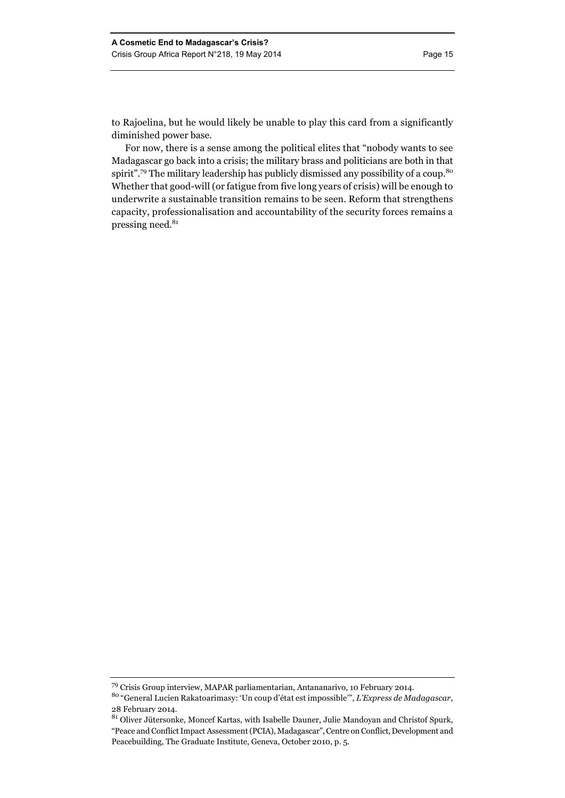to Rajoelina, but he would likely be unable to play this card from a significantly diminished power base.

For now, there is a sense among the political elites that "nobody wants to see Madagascar go back into a crisis; the military brass and politicians are both in that spirit".<sup>79</sup> The military leadership has publicly dismissed any possibility of a coup.<sup>80</sup> Whether that good-will (or fatigue from five long years of crisis) will be enough to underwrite a sustainable transition remains to be seen. Reform that strengthens capacity, professionalisation and accountability of the security forces remains a pressing need.<sup>81</sup>

<sup>79</sup> Crisis Group interview, MAPAR parliamentarian, Antananarivo, 10 February 2014.

<sup>80 &</sup>quot;General Lucien Rakatoarimasy: 'Un coup d'état est impossible'", *L'Express de Madagascar*, 28 February 2014.

 $^{81}$  Oliver Jütersonke, Moncef Kartas, with Isabelle Dauner, Julie Mandoyan and Christof Spurk, "Peace and Conflict Impact Assessment (PCIA), Madagascar", Centre on Conflict, Development and Peacebuilding, The Graduate Institute, Geneva, October 2010, p. 5.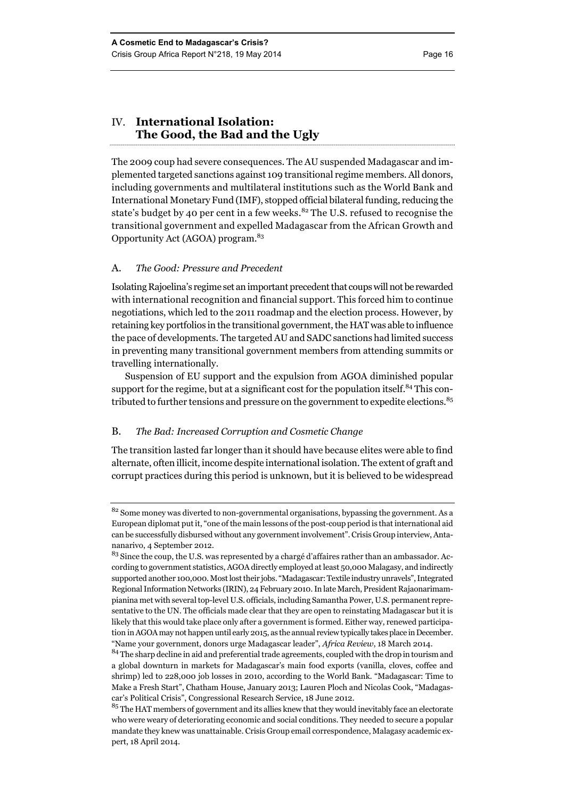### IV. **International Isolation: The Good, the Bad and the Ugly**

The 2009 coup had severe consequences. The AU suspended Madagascar and implemented targeted sanctions against 109 transitional regime members. All donors, including governments and multilateral institutions such as the World Bank and International Monetary Fund (IMF), stopped official bilateral funding, reducing the state's budget by 40 per cent in a few weeks. $82$  The U.S. refused to recognise the transitional government and expelled Madagascar from the African Growth and Opportunity Act (AGOA) program.<sup>83</sup>

#### A. *The Good: Pressure and Precedent*

Isolating Rajoelina's regime set an important precedent that coups will not be rewarded with international recognition and financial support. This forced him to continue negotiations, which led to the 2011 roadmap and the election process. However, by retaining key portfolios in the transitional government, the HAT was able to influence the pace of developments. The targeted AU and SADC sanctions had limited success in preventing many transitional government members from attending summits or travelling internationally.

Suspension of EU support and the expulsion from AGOA diminished popular support for the regime, but at a significant cost for the population itself.<sup>84</sup> This contributed to further tensions and pressure on the government to expedite elections. $85$ 

#### B. *The Bad: Increased Corruption and Cosmetic Change*

The transition lasted far longer than it should have because elites were able to find alternate, often illicit, income despite international isolation. The extent of graft and corrupt practices during this period is unknown, but it is believed to be widespread

<sup>&</sup>lt;sup>82</sup> Some money was diverted to non-governmental organisations, bypassing the government. As a European diplomat put it, "one of the main lessons of the post-coup period is that international aid can be successfully disbursed without any government involvement". Crisis Group interview, Antananarivo, 4 September 2012.

<sup>&</sup>lt;sup>83</sup> Since the coup, the U.S. was represented by a chargé d'affaires rather than an ambassador. According to government statistics, AGOA directly employed at least 50,000 Malagasy, and indirectly supported another 100,000. Most lost their jobs. "Madagascar: Textile industry unravels", Integrated Regional Information Networks (IRIN), 24 February 2010. In late March, President Rajaonarimampianina met with several top-level U.S. officials, including Samantha Power, U.S. permanent representative to the UN. The officials made clear that they are open to reinstating Madagascar but it is likely that this would take place only after a government is formed. Either way, renewed participation in AGOA may not happen until early 2015, as the annual review typically takes place in December. "Name your government, donors urge Madagascar leader", *Africa Review*, 18 March 2014.

<sup>&</sup>lt;sup>84</sup> The sharp decline in aid and preferential trade agreements, coupled with the drop in tourism and a global downturn in markets for Madagascar's main food exports (vanilla, cloves, coffee and shrimp) led to 228,000 job losses in 2010, according to the World Bank. "Madagascar: Time to Make a Fresh Start", Chatham House, January 2013; Lauren Ploch and Nicolas Cook, "Madagascar's Political Crisis", Congressional Research Service, 18 June 2012.

<sup>&</sup>lt;sup>85</sup> The HAT members of government and its allies knew that they would inevitably face an electorate who were weary of deteriorating economic and social conditions. They needed to secure a popular mandate they knew was unattainable. Crisis Group email correspondence, Malagasy academic expert, 18 April 2014.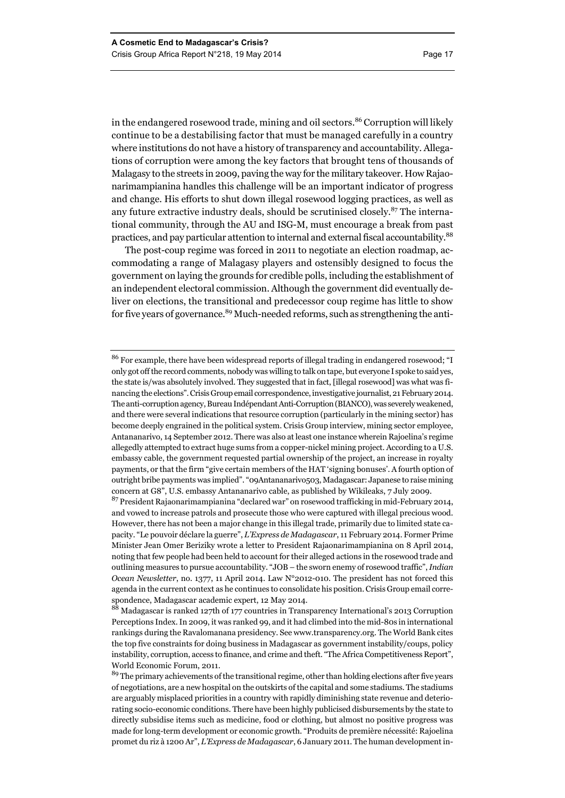in the endangered rosewood trade, mining and oil sectors.<sup>86</sup> Corruption will likely continue to be a destabilising factor that must be managed carefully in a country where institutions do not have a history of transparency and accountability. Allegations of corruption were among the key factors that brought tens of thousands of Malagasy to the streets in 2009, paving the way for the military takeover. How Rajaonarimampianina handles this challenge will be an important indicator of progress and change. His efforts to shut down illegal rosewood logging practices, as well as any future extractive industry deals, should be scrutinised closely.87 The international community, through the AU and ISG-M, must encourage a break from past practices, and pay particular attention to internal and external fiscal accountability.88

The post-coup regime was forced in 2011 to negotiate an election roadmap, accommodating a range of Malagasy players and ostensibly designed to focus the government on laying the grounds for credible polls, including the establishment of an independent electoral commission. Although the government did eventually deliver on elections, the transitional and predecessor coup regime has little to show for five years of governance.<sup>89</sup> Much-needed reforms, such as strengthening the anti-

<sup>&</sup>lt;sup>86</sup> For example, there have been widespread reports of illegal trading in endangered rosewood; "I only got off the record comments, nobody was willing to talk on tape, but everyone I spoke to said yes, the state is/was absolutely involved. They suggested that in fact, [illegal rosewood] was what was financing the elections". Crisis Group email correspondence, investigative journalist, 21 February 2014. The anti-corruption agency, Bureau Indépendant Anti-Corruption (BIANCO), was severely weakened, and there were several indications that resource corruption (particularly in the mining sector) has become deeply engrained in the political system. Crisis Group interview, mining sector employee, Antananarivo, 14 September 2012. There was also at least one instance wherein Rajoelina's regime allegedly attempted to extract huge sums from a copper-nickel mining project. According to a U.S. embassy cable, the government requested partial ownership of the project, an increase in royalty payments, or that the firm "give certain members of the HAT 'signing bonuses'. A fourth option of outright bribe payments was implied". "09Antananarivo503, Madagascar: Japanese to raise mining concern at G8", U.S. embassy Antananarivo cable, as published by Wikileaks, 7 July 2009.

<sup>87</sup> President Rajaonarimampianina "declared war" on rosewood trafficking in mid-February 2014, and vowed to increase patrols and prosecute those who were captured with illegal precious wood. However, there has not been a major change in this illegal trade, primarily due to limited state capacity. "Le pouvoir déclare la guerre", *L'Express de Madagascar*, 11 February 2014. Former Prime Minister Jean Omer Beriziky wrote a letter to President Rajaonarimampianina on 8 April 2014, noting that few people had been held to account for their alleged actions in the rosewood trade and outlining measures to pursue accountability. "JOB – the sworn enemy of rosewood traffic", *Indian Ocean Newsletter*, no. 1377, 11 April 2014. Law N°2012-010. The president has not forced this agenda in the current context as he continues to consolidate his position. Crisis Group email correspondence, Madagascar academic expert, 12 May 2014.

<sup>88</sup> Madagascar is ranked 127th of 177 countries in Transparency International's 2013 Corruption Perceptions Index. In 2009, it was ranked 99, and it had climbed into the mid-80s in international rankings during the Ravalomanana presidency. See www.transparency.org. The World Bank cites the top five constraints for doing business in Madagascar as government instability/coups, policy instability, corruption, access to finance, and crime and theft. "The Africa Competitiveness Report", World Economic Forum, 2011.

 $^{89}$  The primary achievements of the transitional regime, other than holding elections after five years of negotiations, are a new hospital on the outskirts of the capital and some stadiums. The stadiums are arguably misplaced priorities in a country with rapidly diminishing state revenue and deteriorating socio-economic conditions. There have been highly publicised disbursements by the state to directly subsidise items such as medicine, food or clothing, but almost no positive progress was made for long-term development or economic growth. "Produits de première nécessité: Rajoelina promet du riz à 1200 Ar", *L'Express de Madagascar*, 6 January 2011. The human development in-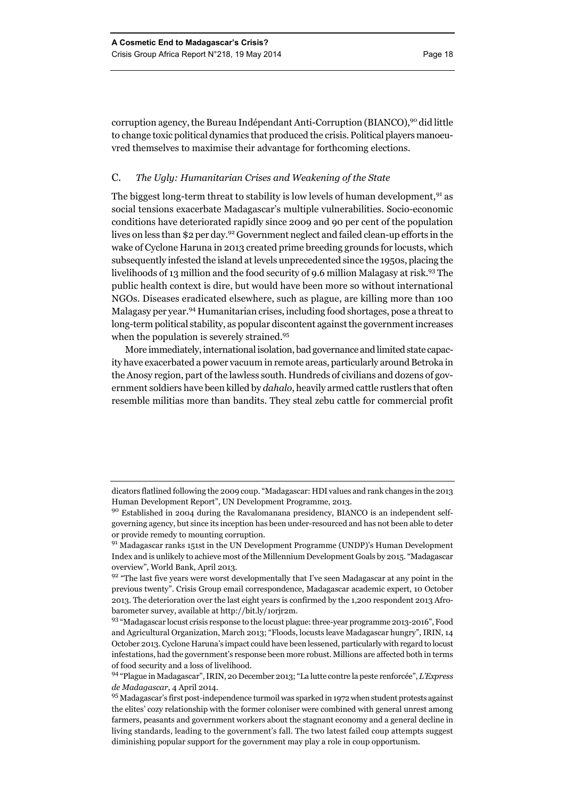corruption agency, the Bureau Indépendant Anti-Corruption (BIANCO),<sup>90</sup> did little to change toxic political dynamics that produced the crisis. Political players manoeuvred themselves to maximise their advantage for forthcoming elections.

#### C. *The Ugly: Humanitarian Crises and Weakening of the State*

The biggest long-term threat to stability is low levels of human development,  $91$  as social tensions exacerbate Madagascar's multiple vulnerabilities. Socio-economic conditions have deteriorated rapidly since 2009 and 90 per cent of the population lives on less than \$2 per day.<sup>92</sup> Government neglect and failed clean-up efforts in the wake of Cyclone Haruna in 2013 created prime breeding grounds for locusts, which subsequently infested the island at levels unprecedented since the 1950s, placing the livelihoods of 13 million and the food security of 9.6 million Malagasy at risk.<sup>93</sup> The public health context is dire, but would have been more so without international NGOs. Diseases eradicated elsewhere, such as plague, are killing more than 100 Malagasy per year.94 Humanitarian crises, including food shortages, pose a threat to long-term political stability, as popular discontent against the government increases when the population is severely strained.<sup>95</sup>

More immediately, international isolation, bad governance and limited state capacity have exacerbated a power vacuum in remote areas, particularly around Betroka in the Anosy region, part of the lawless south. Hundreds of civilians and dozens of government soldiers have been killed by *dahalo*, heavily armed cattle rustlers that often resemble militias more than bandits. They steal zebu cattle for commercial profit

dicators flatlined following the 2009 coup. "Madagascar: HDI values and rank changes in the 2013 Human Development Report", UN Development Programme, 2013.

<sup>90</sup> Established in 2004 during the Ravalomanana presidency, BIANCO is an independent selfgoverning agency, but since its inception has been under-resourced and has not been able to deter or provide remedy to mounting corruption.

<sup>91</sup> Madagascar ranks 151st in the UN Development Programme (UNDP)'s Human Development Index and is unlikely to achieve most of the Millennium Development Goals by 2015. "Madagascar overview", World Bank, April 2013.

<sup>&</sup>lt;sup>92</sup> "The last five years were worst developmentally that I've seen Madagascar at any point in the previous twenty". Crisis Group email correspondence, Madagascar academic expert, 10 October 2013. The deterioration over the last eight years is confirmed by the 1,200 respondent 2013 Afrobarometer survey, available at http://bit.ly/1orjr2m.

<sup>93 &</sup>quot;Madagascar locust crisis response to the locust plague: three-year programme 2013-2016", Food and Agricultural Organization, March 2013; "Floods, locusts leave Madagascar hungry", IRIN, 14 October 2013. Cyclone Haruna's impact could have been lessened, particularly with regard to locust infestations, had the government's response been more robust. Millions are affected both in terms of food security and a loss of livelihood.

<sup>94 &</sup>quot;Plague in Madagascar", IRIN, 20 December 2013; "La lutte contre la peste renforcée", *L'Express de Madagascar*, 4 April 2014.

<sup>&</sup>lt;sup>95</sup> Madagascar's first post-independence turmoil was sparked in 1972 when student protests against the elites' cozy relationship with the former coloniser were combined with general unrest among farmers, peasants and government workers about the stagnant economy and a general decline in living standards, leading to the government's fall. The two latest failed coup attempts suggest diminishing popular support for the government may play a role in coup opportunism.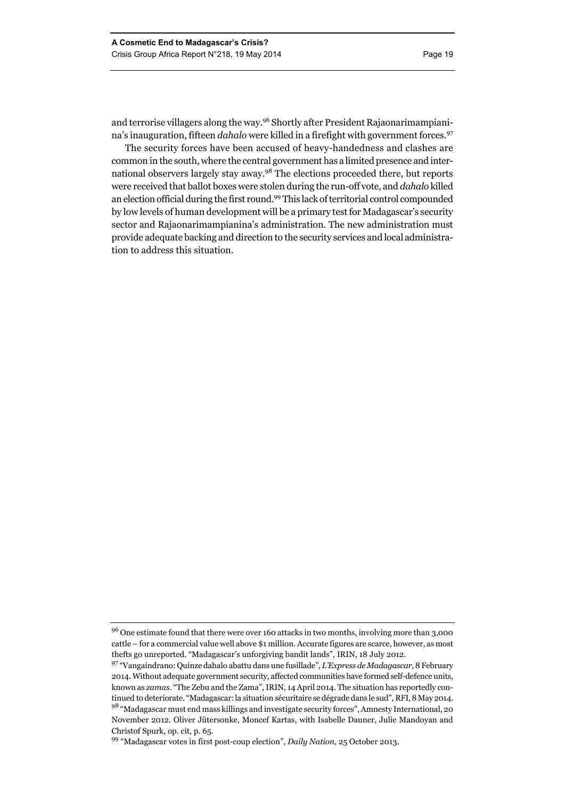and terrorise villagers along the way.96 Shortly after President Rajaonarimampianina's inauguration, fifteen *dahalo* were killed in a firefight with government forces.<sup>97</sup>

The security forces have been accused of heavy-handedness and clashes are common in the south, where the central government has a limited presence and international observers largely stay away.98 The elections proceeded there, but reports were received that ballot boxes were stolen during the run-off vote, and *dahalo* killed an election official during the first round.99 This lack of territorial control compounded by low levels of human development will be a primary test for Madagascar's security sector and Rajaonarimampianina's administration. The new administration must provide adequate backing and direction to the security services and local administration to address this situation.

<sup>&</sup>lt;sup>96</sup> One estimate found that there were over 160 attacks in two months, involving more than 3,000 cattle – for a commercial value well above \$1 million. Accurate figures are scarce, however, as most thefts go unreported. "Madagascar's unforgiving bandit lands", IRIN, 18 July 2012.

<sup>97 &</sup>quot;Vangaindrano: Quinze dahalo abattu dans une fusillade", *L'Express de Madagascar*, 8 February 2014. Without adequate government security, affected communities have formed self-defence units, known as *zamas*. "The Zebu and the Zama", IRIN, 14 April 2014. The situation has reportedly continued to deteriorate. "Madagascar: la situation sécuritaire se dégrade dans le sud", RFI, 8 May 2014. 98 "Madagascar must end mass killings and investigate security forces", Amnesty International, 20 November 2012. Oliver Jütersonke, Moncef Kartas, with Isabelle Dauner, Julie Mandoyan and Christof Spurk, op. cit, p. 65.

<sup>99 &</sup>quot;Madagascar votes in first post-coup election", *Daily Nation*, 25 October 2013.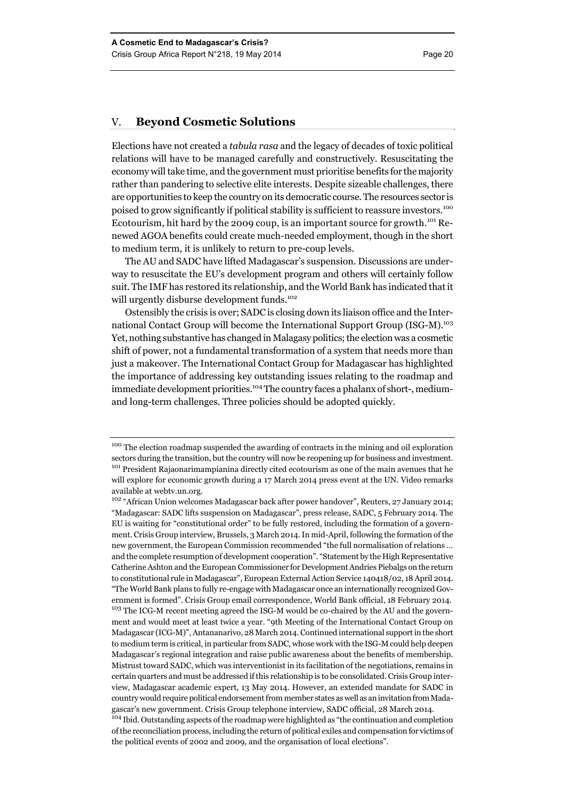#### V. **Beyond Cosmetic Solutions**

Elections have not created a *tabula rasa* and the legacy of decades of toxic political relations will have to be managed carefully and constructively. Resuscitating the economy will take time, and the government must prioritise benefits for the majority rather than pandering to selective elite interests. Despite sizeable challenges, there are opportunities to keep the country on its democratic course. The resources sector is poised to grow significantly if political stability is sufficient to reassure investors.<sup>100</sup> Ecotourism, hit hard by the 2009 coup, is an important source for growth.<sup>101</sup> Renewed AGOA benefits could create much-needed employment, though in the short to medium term, it is unlikely to return to pre-coup levels.

The AU and SADC have lifted Madagascar's suspension. Discussions are underway to resuscitate the EU's development program and others will certainly follow suit. The IMF has restored its relationship, and the World Bank has indicated that it will urgently disburse development funds.<sup>102</sup>

Ostensibly the crisis is over; SADC is closing down its liaison office and the International Contact Group will become the International Support Group (ISG-M).103 Yet, nothing substantive has changed in Malagasy politics; the election was a cosmetic shift of power, not a fundamental transformation of a system that needs more than just a makeover. The International Contact Group for Madagascar has highlighted the importance of addressing key outstanding issues relating to the roadmap and immediate development priorities.<sup>104</sup> The country faces a phalanx of short-, mediumand long-term challenges. Three policies should be adopted quickly.

<sup>&</sup>lt;sup>100</sup> The election roadmap suspended the awarding of contracts in the mining and oil exploration sectors during the transition, but the country will now be reopening up for business and investment. <sup>101</sup> President Rajaonarimampianina directly cited ecotourism as one of the main avenues that he will explore for economic growth during a 17 March 2014 press event at the UN. Video remarks available at webtv.un.org.

<sup>&</sup>lt;sup>102</sup> "African Union welcomes Madagascar back after power handover", Reuters, 27 January 2014; "Madagascar: SADC lifts suspension on Madagascar", press release, SADC, 5 February 2014. The EU is waiting for "constitutional order" to be fully restored, including the formation of a government. Crisis Group interview, Brussels, 3 March 2014. In mid-April, following the formation of the new government, the European Commission recommended "the full normalisation of relations … and the complete resumption of development cooperation". "Statement by the High Representative Catherine Ashton and the European Commissioner for Development Andries Piebalgs on the return to constitutional rule in Madagascar", European External Action Service 140418/02, 18 April 2014. "The World Bank plans to fully re-engage with Madagascar once an internationally recognized Government is formed". Crisis Group email correspondence, World Bank official, 18 February 2014. <sup>103</sup> The ICG-M recent meeting agreed the ISG-M would be co-chaired by the AU and the government and would meet at least twice a year. "9th Meeting of the International Contact Group on Madagascar (ICG-M)", Antananarivo, 28 March 2014. Continued international support in the short to medium term is critical, in particular from SADC, whose work with the ISG-M could help deepen Madagascar's regional integration and raise public awareness about the benefits of membership. Mistrust toward SADC, which was interventionist in its facilitation of the negotiations, remains in certain quarters and must be addressed if this relationship is to be consolidated. Crisis Group interview, Madagascar academic expert, 13 May 2014. However, an extended mandate for SADC in country would require political endorsement from member states as well as an invitation from Madagascar's new government. Crisis Group telephone interview, SADC official, 28 March 2014.

<sup>&</sup>lt;sup>104</sup> Ibid. Outstanding aspects of the roadmap were highlighted as "the continuation and completion of the reconciliation process, including the return of political exiles and compensation for victims of the political events of 2002 and 2009, and the organisation of local elections".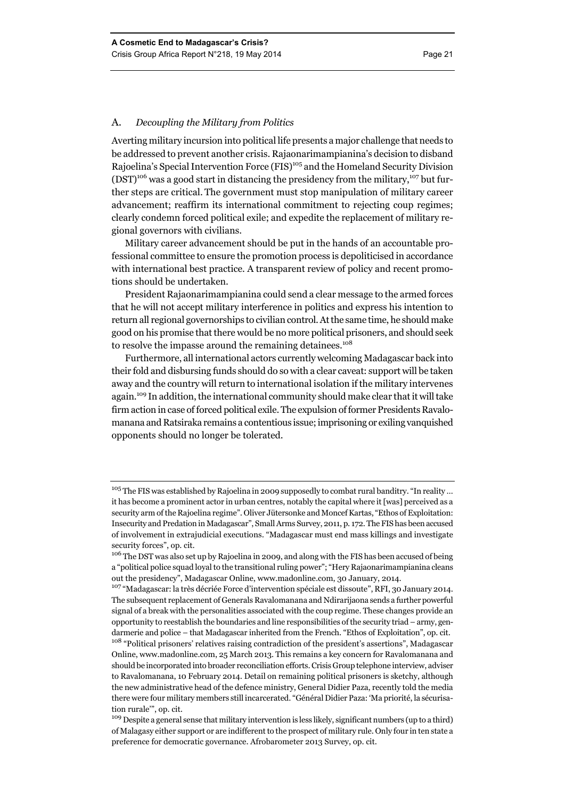#### A. *Decoupling the Military from Politics*

Averting military incursion into political life presents a major challenge that needs to be addressed to prevent another crisis. Rajaonarimampianina's decision to disband Rajoelina's Special Intervention Force (FIS)<sup>105</sup> and the Homeland Security Division  $(DST)^{106}$  was a good start in distancing the presidency from the military,<sup>107</sup> but further steps are critical. The government must stop manipulation of military career advancement; reaffirm its international commitment to rejecting coup regimes; clearly condemn forced political exile; and expedite the replacement of military regional governors with civilians.

Military career advancement should be put in the hands of an accountable professional committee to ensure the promotion process is depoliticised in accordance with international best practice. A transparent review of policy and recent promotions should be undertaken.

President Rajaonarimampianina could send a clear message to the armed forces that he will not accept military interference in politics and express his intention to return all regional governorships to civilian control. At the same time, he should make good on his promise that there would be no more political prisoners, and should seek to resolve the impasse around the remaining detainees.<sup>108</sup>

Furthermore, all international actors currently welcoming Madagascar back into their fold and disbursing funds should do so with a clear caveat: support will be taken away and the country will return to international isolation if the military intervenes again.109 In addition, the international community should make clear that it will take firm action in case of forced political exile. The expulsion of former Presidents Ravalomanana and Ratsiraka remains a contentious issue; imprisoning or exiling vanquished opponents should no longer be tolerated.

<sup>&</sup>lt;sup>105</sup> The FIS was established by Rajoelina in 2009 supposedly to combat rural banditry. "In reality ... it has become a prominent actor in urban centres, notably the capital where it [was] perceived as a security arm of the Rajoelina regime". Oliver Jütersonke and Moncef Kartas, "Ethos of Exploitation: Insecurity and Predation in Madagascar", Small Arms Survey, 2011, p. 172. The FIS has been accused of involvement in extrajudicial executions. "Madagascar must end mass killings and investigate security forces", op. cit.

<sup>&</sup>lt;sup>106</sup> The DST was also set up by Rajoelina in 2009, and along with the FIS has been accused of being a "political police squad loyal to the transitional ruling power"; "Hery Rajaonarimampianina cleans out the presidency", Madagascar Online, www.madonline.com, 30 January, 2014.

<sup>107 &</sup>quot;Madagascar: la très décriée Force d'intervention spéciale est dissoute", RFI, 30 January 2014. The subsequent replacement of Generals Ravalomanana and Ndirarijaona sends a further powerful signal of a break with the personalities associated with the coup regime. These changes provide an opportunity to reestablish the boundaries and line responsibilities of the security triad – army, gendarmerie and police – that Madagascar inherited from the French. "Ethos of Exploitation", op. cit.

<sup>&</sup>lt;sup>108</sup> "Political prisoners' relatives raising contradiction of the president's assertions", Madagascar Online, www.madonline.com, 25 March 2013. This remains a key concern for Ravalomanana and should be incorporated into broader reconciliation efforts. Crisis Group telephone interview, adviser to Ravalomanana, 10 February 2014. Detail on remaining political prisoners is sketchy, although the new administrative head of the defence ministry, General Didier Paza, recently told the media there were four military members still incarcerated. "Général Didier Paza: 'Ma priorité, la sécurisation rurale'", op. cit.

<sup>109</sup> Despite a general sense that military intervention is less likely, significant numbers (up to a third) of Malagasy either support or are indifferent to the prospect of military rule. Only four in ten state a preference for democratic governance. Afrobarometer 2013 Survey, op. cit.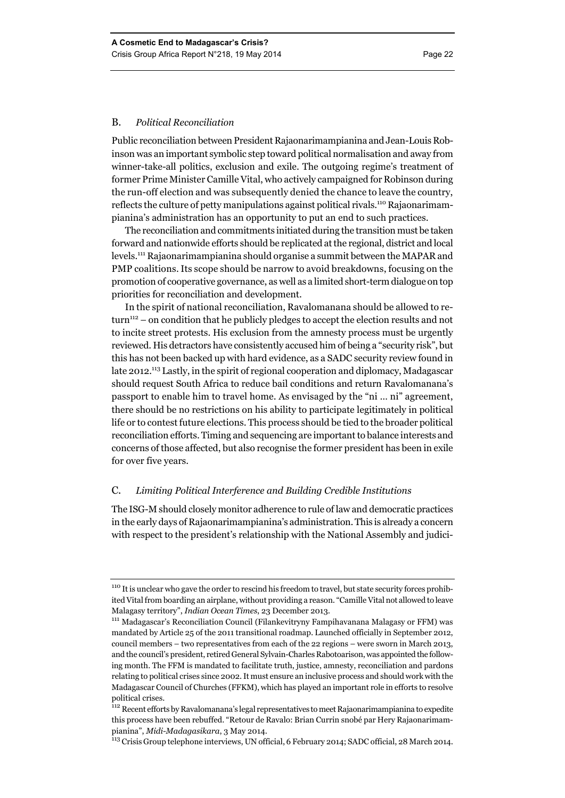#### B. *Political Reconciliation*

Public reconciliation between President Rajaonarimampianina and Jean-Louis Robinson was an important symbolic step toward political normalisation and away from winner-take-all politics, exclusion and exile. The outgoing regime's treatment of former Prime Minister Camille Vital, who actively campaigned for Robinson during the run-off election and was subsequently denied the chance to leave the country, reflects the culture of petty manipulations against political rivals.110 Rajaonarimampianina's administration has an opportunity to put an end to such practices.

The reconciliation and commitments initiated during the transition must be taken forward and nationwide efforts should be replicated at the regional, district and local levels.111 Rajaonarimampianina should organise a summit between the MAPAR and PMP coalitions. Its scope should be narrow to avoid breakdowns, focusing on the promotion of cooperative governance, as well as a limited short-term dialogue on top priorities for reconciliation and development.

In the spirit of national reconciliation, Ravalomanana should be allowed to re $turn<sup>112</sup> - on condition that he publicly pledges to accept the election results and not$ to incite street protests. His exclusion from the amnesty process must be urgently reviewed. His detractors have consistently accused him of being a "security risk", but this has not been backed up with hard evidence, as a SADC security review found in late 2012.<sup>113</sup> Lastly, in the spirit of regional cooperation and diplomacy, Madagascar should request South Africa to reduce bail conditions and return Ravalomanana's passport to enable him to travel home. As envisaged by the "ni … ni" agreement, there should be no restrictions on his ability to participate legitimately in political life or to contest future elections. This process should be tied to the broader political reconciliation efforts. Timing and sequencing are important to balance interests and concerns of those affected, but also recognise the former president has been in exile for over five years.

#### C. *Limiting Political Interference and Building Credible Institutions*

The ISG-M should closely monitor adherence to rule of law and democratic practices in the early days of Rajaonarimampianina's administration. This is already a concern with respect to the president's relationship with the National Assembly and judici-

<sup>&</sup>lt;sup>110</sup> It is unclear who gave the order to rescind his freedom to travel, but state security forces prohibited Vital from boarding an airplane, without providing a reason. "Camille Vital not allowed to leave

Malagasy territory", *Indian Ocean Times*, 23 December 2013. 111 Madagascar's Reconciliation Council (Filankevitryny Fampihavanana Malagasy or FFM) was mandated by Article 25 of the 2011 transitional roadmap. Launched officially in September 2012, council members – two representatives from each of the 22 regions – were sworn in March 2013, and the council's president, retired General Sylvain-Charles Rabotoarison, was appointed the following month. The FFM is mandated to facilitate truth, justice, amnesty, reconciliation and pardons relating to political crises since 2002. It must ensure an inclusive process and should work with the Madagascar Council of Churches (FFKM), which has played an important role in efforts to resolve political crises.

<sup>&</sup>lt;sup>112</sup> Recent efforts by Ravalomanana's legal representatives to meet Rajaonarimampianina to expedite this process have been rebuffed. "Retour de Ravalo: Brian Currin snobé par Hery Rajaonarimampianina", *Midi-Madagasikara*, 3 May 2014.

<sup>&</sup>lt;sup>113</sup> Crisis Group telephone interviews, UN official, 6 February 2014; SADC official, 28 March 2014.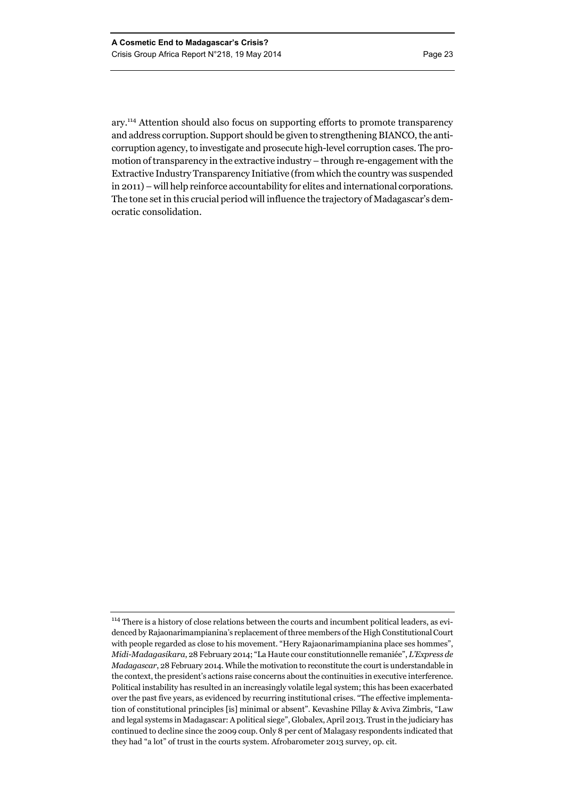ary.114 Attention should also focus on supporting efforts to promote transparency and address corruption. Support should be given to strengthening BIANCO, the anticorruption agency, to investigate and prosecute high-level corruption cases. The promotion of transparency in the extractive industry – through re-engagement with the Extractive Industry Transparency Initiative (from which the country was suspended in 2011) – will help reinforce accountability for elites and international corporations. The tone set in this crucial period will influence the trajectory of Madagascar's democratic consolidation.

<sup>&</sup>lt;sup>114</sup> There is a history of close relations between the courts and incumbent political leaders, as evidenced by Rajaonarimampianina's replacement of three members of the High Constitutional Court with people regarded as close to his movement. "Hery Rajaonarimampianina place ses hommes", *Midi-Madagasikara*, 28 February 2014; "La Haute cour constitutionnelle remaniée", *L'Express de Madagascar*, 28 February 2014. While the motivation to reconstitute the court is understandable in the context, the president's actions raise concerns about the continuities in executive interference. Political instability has resulted in an increasingly volatile legal system; this has been exacerbated over the past five years, as evidenced by recurring institutional crises. "The effective implementation of constitutional principles [is] minimal or absent". Kevashine Pillay & Aviva Zimbris, "Law and legal systems in Madagascar: A political siege", Globalex, April 2013. Trust in the judiciary has continued to decline since the 2009 coup. Only 8 per cent of Malagasy respondents indicated that they had "a lot" of trust in the courts system. Afrobarometer 2013 survey, op. cit.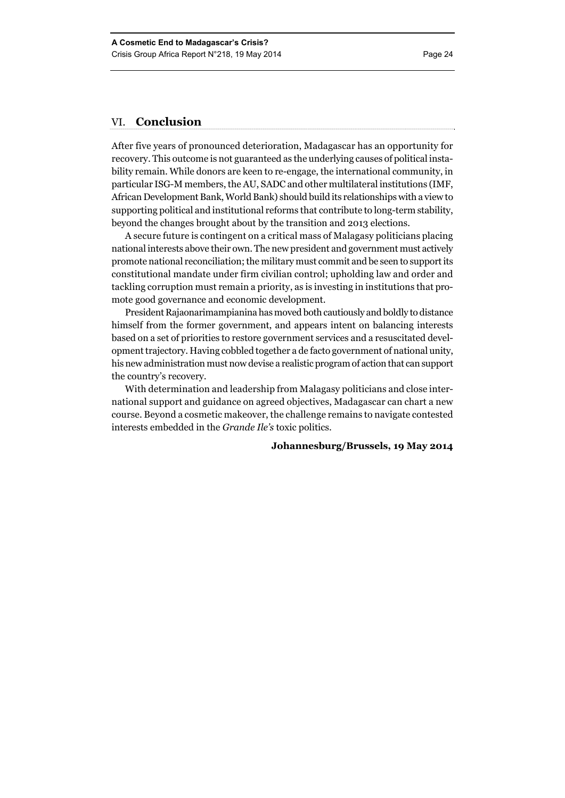#### VI. **Conclusion**

After five years of pronounced deterioration, Madagascar has an opportunity for recovery. This outcome is not guaranteed as the underlying causes of political instability remain. While donors are keen to re-engage, the international community, in particular ISG-M members, the AU, SADC and other multilateral institutions (IMF, African Development Bank, World Bank) should build its relationships with a view to supporting political and institutional reforms that contribute to long-term stability, beyond the changes brought about by the transition and 2013 elections.

A secure future is contingent on a critical mass of Malagasy politicians placing national interests above their own. The new president and government must actively promote national reconciliation; the military must commit and be seen to support its constitutional mandate under firm civilian control; upholding law and order and tackling corruption must remain a priority, as is investing in institutions that promote good governance and economic development.

President Rajaonarimampianina has moved both cautiously and boldly to distance himself from the former government, and appears intent on balancing interests based on a set of priorities to restore government services and a resuscitated development trajectory. Having cobbled together a de facto government of national unity, his new administration must now devise a realistic program of action that can support the country's recovery.

With determination and leadership from Malagasy politicians and close international support and guidance on agreed objectives, Madagascar can chart a new course. Beyond a cosmetic makeover, the challenge remains to navigate contested interests embedded in the *Grande Ile's* toxic politics.

**Johannesburg/Brussels, 19 May 2014**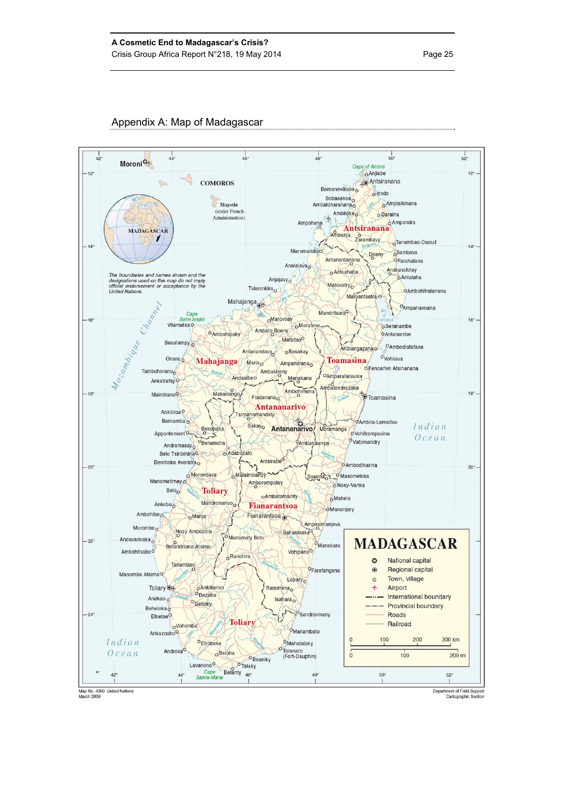#### Appendix A: Map of Madagascar



Department of Field Suppo<br>Cartographic Section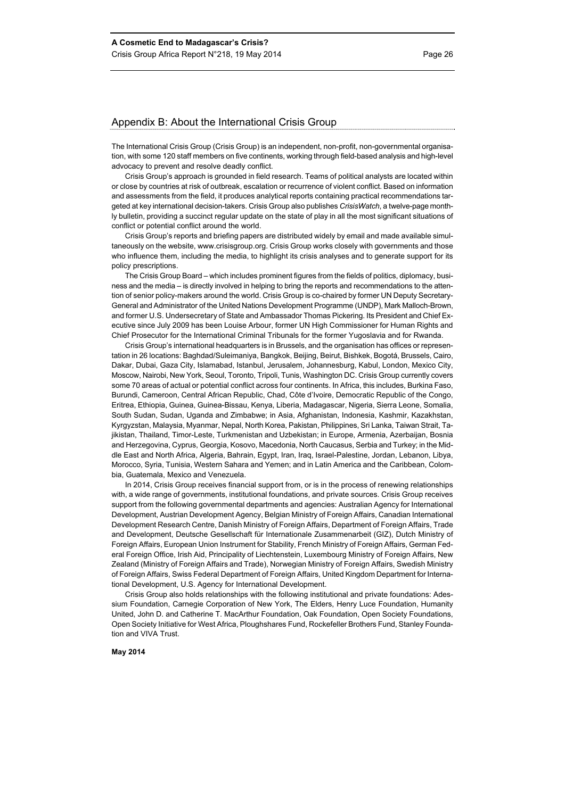#### Appendix B: About the International Crisis Group

The International Crisis Group (Crisis Group) is an independent, non-profit, non-governmental organisation, with some 120 staff members on five continents, working through field-based analysis and high-level advocacy to prevent and resolve deadly conflict.

Crisis Group's approach is grounded in field research. Teams of political analysts are located within or close by countries at risk of outbreak, escalation or recurrence of violent conflict. Based on information and assessments from the field, it produces analytical reports containing practical recommendations targeted at key international decision-takers. Crisis Group also publishes *CrisisWatch*, a twelve-page monthly bulletin, providing a succinct regular update on the state of play in all the most significant situations of conflict or potential conflict around the world.

Crisis Group's reports and briefing papers are distributed widely by email and made available simultaneously on the website, www.crisisgroup.org. Crisis Group works closely with governments and those who influence them, including the media, to highlight its crisis analyses and to generate support for its policy prescriptions.

The Crisis Group Board – which includes prominent figures from the fields of politics, diplomacy, business and the media – is directly involved in helping to bring the reports and recommendations to the attention of senior policy-makers around the world. Crisis Group is co-chaired by former UN Deputy Secretary-General and Administrator of the United Nations Development Programme (UNDP), Mark Malloch-Brown, and former U.S. Undersecretary of State and Ambassador Thomas Pickering. Its President and Chief Executive since July 2009 has been Louise Arbour, former UN High Commissioner for Human Rights and Chief Prosecutor for the International Criminal Tribunals for the former Yugoslavia and for Rwanda.

Crisis Group's international headquarters is in Brussels, and the organisation has offices or representation in 26 locations: Baghdad/Suleimaniya, Bangkok, Beijing, Beirut, Bishkek, Bogotá, Brussels, Cairo, Dakar, Dubai, Gaza City, Islamabad, Istanbul, Jerusalem, Johannesburg, Kabul, London, Mexico City, Moscow, Nairobi, New York, Seoul, Toronto, Tripoli, Tunis, Washington DC. Crisis Group currently covers some 70 areas of actual or potential conflict across four continents. In Africa, this includes, Burkina Faso, Burundi, Cameroon, Central African Republic, Chad, Côte d'Ivoire, Democratic Republic of the Congo, Eritrea, Ethiopia, Guinea, Guinea-Bissau, Kenya, Liberia, Madagascar, Nigeria, Sierra Leone, Somalia, South Sudan, Sudan, Uganda and Zimbabwe; in Asia, Afghanistan, Indonesia, Kashmir, Kazakhstan, Kyrgyzstan, Malaysia, Myanmar, Nepal, North Korea, Pakistan, Philippines, Sri Lanka, Taiwan Strait, Tajikistan, Thailand, Timor-Leste, Turkmenistan and Uzbekistan; in Europe, Armenia, Azerbaijan, Bosnia and Herzegovina, Cyprus, Georgia, Kosovo, Macedonia, North Caucasus, Serbia and Turkey; in the Middle East and North Africa, Algeria, Bahrain, Egypt, Iran, Iraq, Israel-Palestine, Jordan, Lebanon, Libya, Morocco, Syria, Tunisia, Western Sahara and Yemen; and in Latin America and the Caribbean, Colombia, Guatemala, Mexico and Venezuela.

In 2014, Crisis Group receives financial support from, or is in the process of renewing relationships with, a wide range of governments, institutional foundations, and private sources. Crisis Group receives support from the following governmental departments and agencies: Australian Agency for International Development, Austrian Development Agency, Belgian Ministry of Foreign Affairs, Canadian International Development Research Centre, Danish Ministry of Foreign Affairs, Department of Foreign Affairs, Trade and Development, Deutsche Gesellschaft für Internationale Zusammenarbeit (GIZ), Dutch Ministry of Foreign Affairs, European Union Instrument for Stability, French Ministry of Foreign Affairs, German Federal Foreign Office, Irish Aid, Principality of Liechtenstein, Luxembourg Ministry of Foreign Affairs, New Zealand (Ministry of Foreign Affairs and Trade), Norwegian Ministry of Foreign Affairs, Swedish Ministry of Foreign Affairs, Swiss Federal Department of Foreign Affairs, United Kingdom Department for International Development, U.S. Agency for International Development.

Crisis Group also holds relationships with the following institutional and private foundations: Adessium Foundation, Carnegie Corporation of New York, The Elders, Henry Luce Foundation, Humanity United, John D. and Catherine T. MacArthur Foundation, Oak Foundation, Open Society Foundations, Open Society Initiative for West Africa, Ploughshares Fund, Rockefeller Brothers Fund, Stanley Foundation and VIVA Trust.

**May 2014**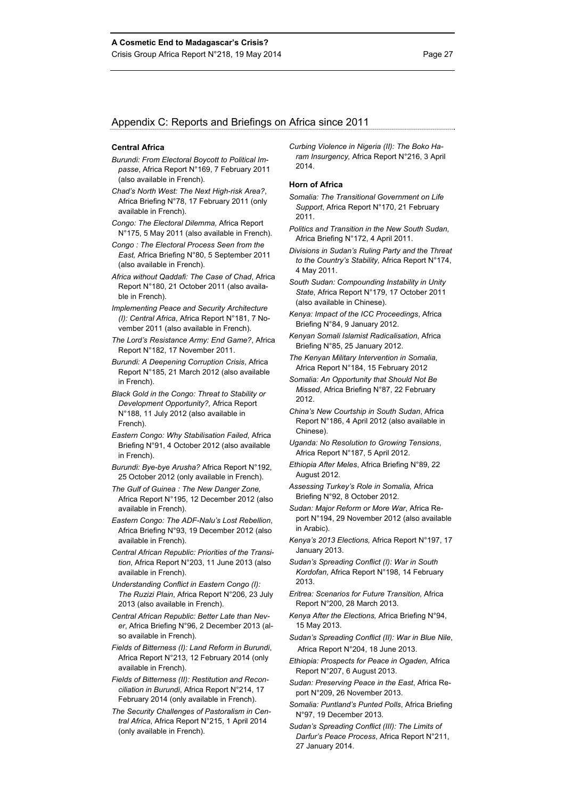#### Appendix C: Reports and Briefings on Africa since 2011

#### **Central Africa**

- *Burundi: From Electoral Boycott to Political Impasse*, Africa Report N°169, 7 February 2011 (also available in French).
- *Chad's North West: The Next High-risk Area?*, Africa Briefing N°78, 17 February 2011 (only available in French).
- *Congo: The Electoral Dilemma,* Africa Report N°175, 5 May 2011 (also available in French).
- *Congo : The Electoral Process Seen from the East,* Africa Briefing N°80, 5 September 2011 (also available in French).
- *Africa without Qaddafi: The Case of Chad*, Africa Report N°180, 21 October 2011 (also available in French).
- *Implementing Peace and Security Architecture (I): Central Africa*, Africa Report N°181, 7 November 2011 (also available in French).
- *The Lord's Resistance Army: End Game?*, Africa Report N°182, 17 November 2011.
- *Burundi: A Deepening Corruption Crisis*, Africa Report N°185, 21 March 2012 (also available in French).
- *Black Gold in the Congo: Threat to Stability or Development Opportunity?,* Africa Report N°188, 11 July 2012 (also available in French).
- *Eastern Congo: Why Stabilisation Failed*, Africa Briefing N°91, 4 October 2012 (also available in French).
- *Burundi: Bye-bye Arusha?* Africa Report N°192, 25 October 2012 (only available in French).
- *The Gulf of Guinea : The New Danger Zone,*  Africa Report N°195, 12 December 2012 (also available in French).
- *Eastern Congo: The ADF-Nalu's Lost Rebellion*, Africa Briefing N°93, 19 December 2012 (also available in French).
- *Central African Republic: Priorities of the Transition*, Africa Report N°203, 11 June 2013 (also available in French).
- *Understanding Conflict in Eastern Congo (I): The Ruzizi Plain*, Africa Report N°206, 23 July 2013 (also available in French).
- *Central African Republic: Better Late than Never*, Africa Briefing N°96, 2 December 2013 (also available in French).
- *Fields of Bitterness (I): Land Reform in Burundi*, Africa Report N°213, 12 February 2014 (only available in French).
- *Fields of Bitterness (II): Restitution and Reconciliation in Burundi*, Africa Report N°214, 17 February 2014 (only available in French).
- *The Security Challenges of Pastoralism in Central Africa*, Africa Report N°215, 1 April 2014 (only available in French).

*Curbing Violence in Nigeria (II): The Boko Haram Insurgency,* Africa Report N°216, 3 April 2014.

#### **Horn of Africa**

- *Somalia: The Transitional Government on Life Support*, Africa Report N°170, 21 February 2011.
- *Politics and Transition in the New South Sudan,*  Africa Briefing N°172, 4 April 2011.
- *Divisions in Sudan's Ruling Party and the Threat to the Country's Stability,* Africa Report N°174, 4 May 2011.
- *South Sudan: Compounding Instability in Unity State*, Africa Report N°179, 17 October 2011 (also available in Chinese).
- *Kenya: Impact of the ICC Proceedings*, Africa Briefing N°84, 9 January 2012.
- *Kenyan Somali Islamist Radicalisation*, Africa Briefing N°85, 25 January 2012.
- *The Kenyan Military Intervention in Somalia*, Africa Report N°184, 15 February 2012
- *Somalia: An Opportunity that Should Not Be Missed*, Africa Briefing N°87, 22 February 2012.
- *China's New Courtship in South Sudan*, Africa Report N°186, 4 April 2012 (also available in Chinese).
- *Uganda: No Resolution to Growing Tensions*, Africa Report N°187, 5 April 2012.
- *Ethiopia After Meles*, Africa Briefing N°89, 22 August 2012.
- *Assessing Turkey's Role in Somalia,* Africa Briefing N°92, 8 October 2012.
- *Sudan: Major Reform or More War*, Africa Report N°194, 29 November 2012 (also available in Arabic).
- *Kenya's 2013 Elections,* Africa Report N°197, 17 January 2013.
- *Sudan's Spreading Conflict (I): War in South Kordofan*, Africa Report N°198, 14 February 2013.
- *Eritrea: Scenarios for Future Transition,* Africa Report N°200, 28 March 2013.
- *Kenya After the Elections,* Africa Briefing N°94, 15 May 2013.
- *Sudan's Spreading Conflict (II): War in Blue Nile*, Africa Report N°204, 18 June 2013.
- *Ethiopia: Prospects for Peace in Ogaden,* Africa Report N°207, 6 August 2013.
- *Sudan: Preserving Peace in the East*, Africa Report N°209, 26 November 2013.
- *Somalia: Puntland's Punted Polls*, Africa Briefing N°97, 19 December 2013.
- *Sudan's Spreading Conflict (III): The Limits of Darfur's Peace Process*, Africa Report N°211, 27 January 2014.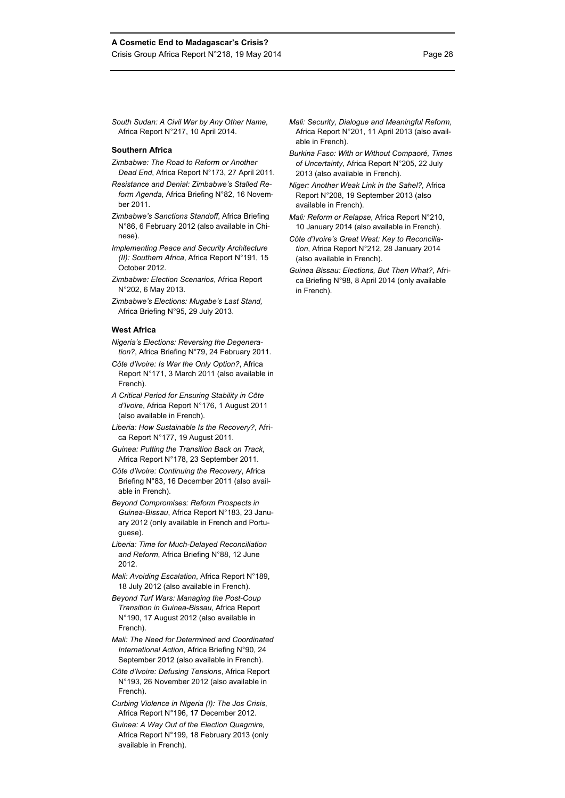*South Sudan: A Civil War by Any Other Name,*  Africa Report N°217, 10 April 2014.

#### **Southern Africa**

- *Zimbabwe: The Road to Reform or Another Dead End*, Africa Report N°173, 27 April 2011.
- *Resistance and Denial: Zimbabwe's Stalled Reform Agenda*, Africa Briefing N°82, 16 November 2011.
- *Zimbabwe's Sanctions Standoff*, Africa Briefing N°86, 6 February 2012 (also available in Chinese).
- *Implementing Peace and Security Architecture (II): Southern Africa*, Africa Report N°191, 15 October 2012.
- *Zimbabwe: Election Scenarios*, Africa Report N°202, 6 May 2013.
- *Zimbabwe's Elections: Mugabe's Last Stand,*  Africa Briefing N°95, 29 July 2013.

#### **West Africa**

- *Nigeria's Elections: Reversing the Degeneration?*, Africa Briefing N°79, 24 February 2011.
- *Côte d'Ivoire: Is War the Only Option?*, Africa Report N°171, 3 March 2011 (also available in French).
- *A Critical Period for Ensuring Stability in Côte d'Ivoire*, Africa Report N°176, 1 August 2011 (also available in French).
- *Liberia: How Sustainable Is the Recovery?*, Africa Report N°177, 19 August 2011.
- *Guinea: Putting the Transition Back on Track*, Africa Report N°178, 23 September 2011.
- *Côte d'Ivoire: Continuing the Recovery*, Africa Briefing N°83, 16 December 2011 (also available in French).
- *Beyond Compromises: Reform Prospects in Guinea-Bissau*, Africa Report N°183, 23 January 2012 (only available in French and Portuguese).
- *Liberia: Time for Much-Delayed Reconciliation and Reform*, Africa Briefing N°88, 12 June 2012.
- *Mali: Avoiding Escalation*, Africa Report N°189, 18 July 2012 (also available in French).
- *Beyond Turf Wars: Managing the Post-Coup Transition in Guinea-Bissau*, Africa Report N°190, 17 August 2012 (also available in French).
- *Mali: The Need for Determined and Coordinated International Action*, Africa Briefing N°90, 24 September 2012 (also available in French).
- *Côte d'Ivoire: Defusing Tensions*, Africa Report N°193, 26 November 2012 (also available in French).
- *Curbing Violence in Nigeria (I): The Jos Crisis*, Africa Report N°196, 17 December 2012.
- *Guinea: A Way Out of the Election Quagmire,* Africa Report N°199, 18 February 2013 (only available in French).
- *Mali: Security, Dialogue and Meaningful Reform,*  Africa Report N°201, 11 April 2013 (also available in French).
- *Burkina Faso: With or Without Compaoré, Times of Uncertainty*, Africa Report N°205, 22 July 2013 (also available in French).
- *Niger: Another Weak Link in the Sahel?,* Africa Report N°208, 19 September 2013 (also available in French).
- *Mali: Reform or Relapse*, Africa Report N°210, 10 January 2014 (also available in French).
- *Côte d'Ivoire's Great West: Key to Reconciliation*, Africa Report N°212, 28 January 2014 (also available in French).
- *Guinea Bissau: Elections, But Then What?*, Africa Briefing N°98, 8 April 2014 (only available in French).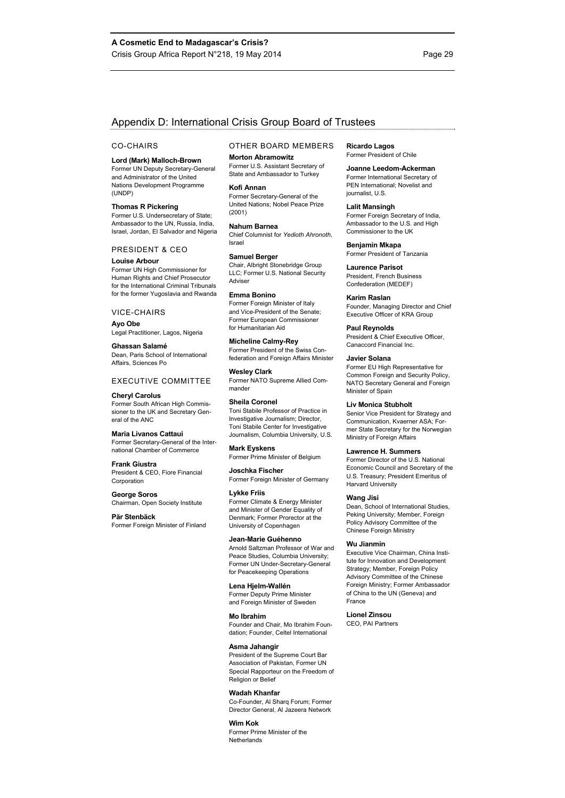#### Appendix D: International Crisis Group Board of Trustees

#### CO-CHAIRS

#### **Lord (Mark) Malloch-Brown**

Former UN Deputy Secretary-General and Administrator of the United Nations Development Programme (UNDP)

**Thomas R Pickering**  Former U.S. Undersecretary of State; Ambassador to the UN, Russia, India, Israel, Jordan, El Salvador and Nigeria

#### PRESIDENT & CEO

**Louise Arbour**  Former UN High Commissioner for Human Rights and Chief Prosecutor for the International Criminal Tribunals for the former Yugoslavia and Rwanda

#### VICE-CHAIRS

**Ayo Obe**  Legal Practitioner, Lagos, Nigeria

**Ghassan Salamé**  Dean, Paris School of International Affairs, Sciences Po

#### EXECUTIVE COMMITTEE

**Cheryl Carolus**  Former South African High Commissioner to the UK and Secretary General of the ANC

**Maria Livanos Cattaui**  Former Secretary-General of the International Chamber of Commerce

**Frank Giustra**  President & CEO, Fiore Financial Corporation

#### **George Soros**

Chairman, Open Society Institute

**Pär Stenbäck**  Former Foreign Minister of Finland OTHER BOARD MEMBERS **Morton Abramowitz**  Former U.S. Assistant Secretary of

State and Ambassador to Turkey

**Kofi Annan**  Former Secretary-General of the United Nations; Nobel Peace Prize (2001)

**Nahum Barnea**  Chief Columnist for *Yedioth Ahronoth*, Israel

**Samuel Berger**  Chair, Albright Stonebridge Group LLC; Former U.S. National Security Adviser

**Emma Bonino**  Former Foreign Minister of Italy and Vice-President of the Senate; Former European Commissioner for Humanitarian Aid

**Micheline Calmy-Rey**  Former President of the Swiss Confederation and Foreign Affairs Minister

**Wesley Clark**  Former NATO Supreme Allied Commander

**Sheila Coronel**  Toni Stabile Professor of Practice in Investigative Journalism; Director, Toni Stabile Center for Investigative Journalism, Columbia University, U.S.

**Mark Eyskens**  Former Prime Minister of Belgium

**Joschka Fischer**  Former Foreign Minister of Germany

**Lykke Friis**  Former Climate & Energy Minister and Minister of Gender Equality of Denmark; Former Prorector at the University of Copenhagen

#### **Jean-Marie Guéhenno**  Arnold Saltzman Professor of War and Peace Studies, Columbia University; Former UN Under-Secretary-General

for Peacekeeping Operations **Lena Hjelm-Wallén** 

Former Deputy Prime Minister and Foreign Minister of Sweden

**Mo Ibrahim** 

Founder and Chair, Mo Ibrahim Foundation; Founder, Celtel International

#### **Asma Jahangir**

President of the Supreme Court Bar Association of Pakistan, Former UN Special Rapporteur on the Freedom of Religion or Belief

#### **Wadah Khanfar**

Co-Founder, Al Sharq Forum; Former Director General, Al Jazeera Network

**Wim Kok**  Former Prime Minister of the **Netherlands** 

**Ricardo Lagos**  Former President of Chile

**Joanne Leedom-Ackerman**  Former International Secretary of PEN International; Novelist and journalist, U.S.

**Lalit Mansingh**  Former Foreign Secretary of India, Ambassador to the U.S. and High Commissioner to the UK

**Benjamin Mkapa**  Former President of Tanzania

**Laurence Parisot**  President, French Business Confederation (MEDEF)

**Karim Raslan**  Founder, Managing Director and Chief Executive Officer of KRA Group

**Paul Reynolds**  President & Chief Executive Officer Canaccord Financial Inc.

**Javier Solana**  Former EU High Representative for Common Foreign and Security Policy, NATO Secretary General and Foreign Minister of Spain

**Liv Monica Stubholt** 

Senior Vice President for Strategy and Communication, Kvaerner ASA; Former State Secretary for the Norwegian Ministry of Foreign Affairs

#### **Lawrence H. Summers**

Former Director of the U.S. National Economic Council and Secretary of the U.S. Treasury; President Emeritus of Harvard University

#### **Wang Jisi**

Dean, School of International Studies, Peking University; Member, Foreign Policy Advisory Committee of the Chinese Foreign Ministry

#### **Wu Jianmin**

Executive Vice Chairman, China Institute for Innovation and Development Strategy; Member, Foreign Policy Advisory Committee of the Chinese Foreign Ministry; Former Ambassador of China to the UN (Geneva) and France

**Lionel Zinsou** 

CEO, PAI Partners